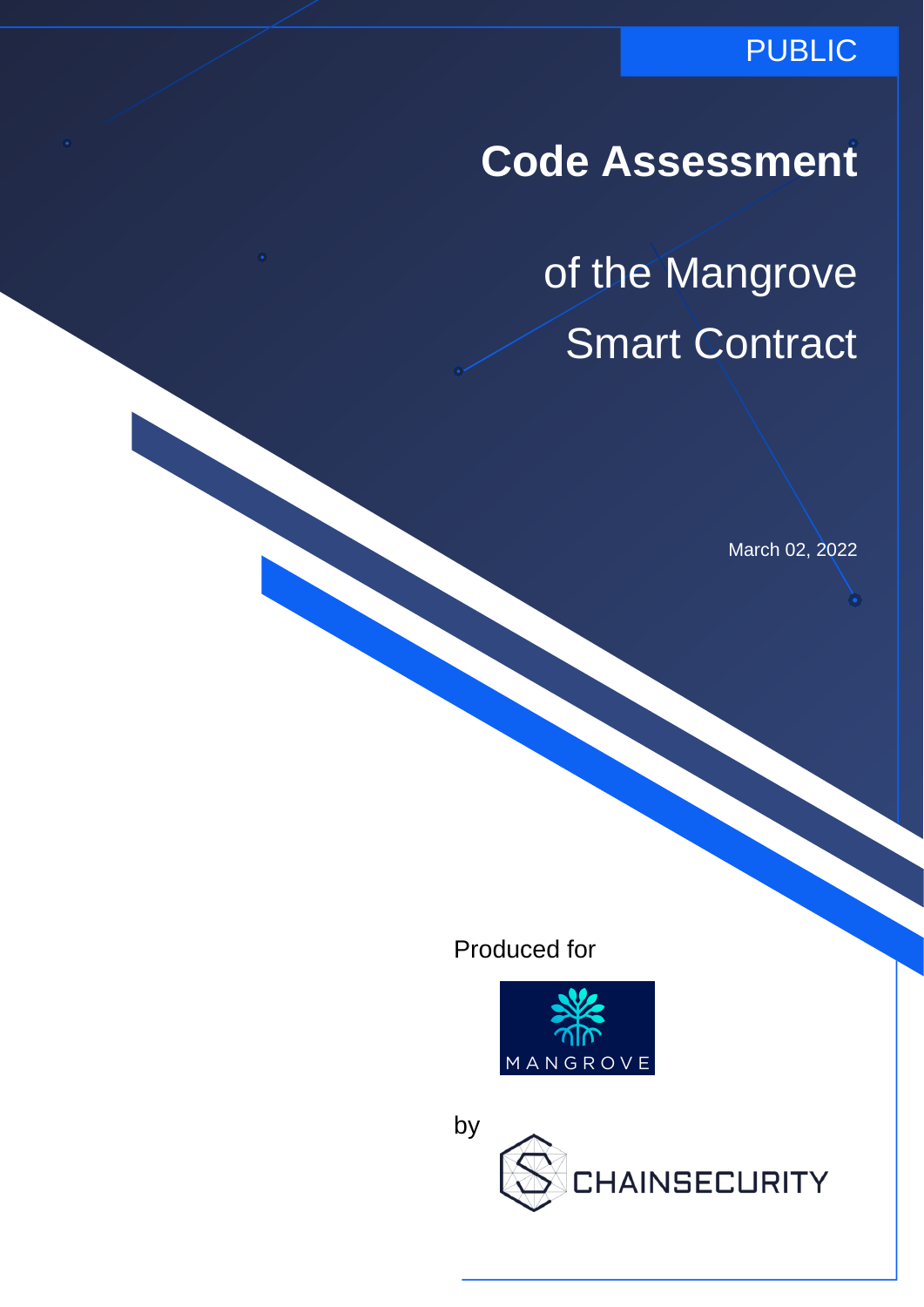### PUBLIC

**Code Assessment**

of the Mangrove Smart Contract

March 02, 2022

Produced for



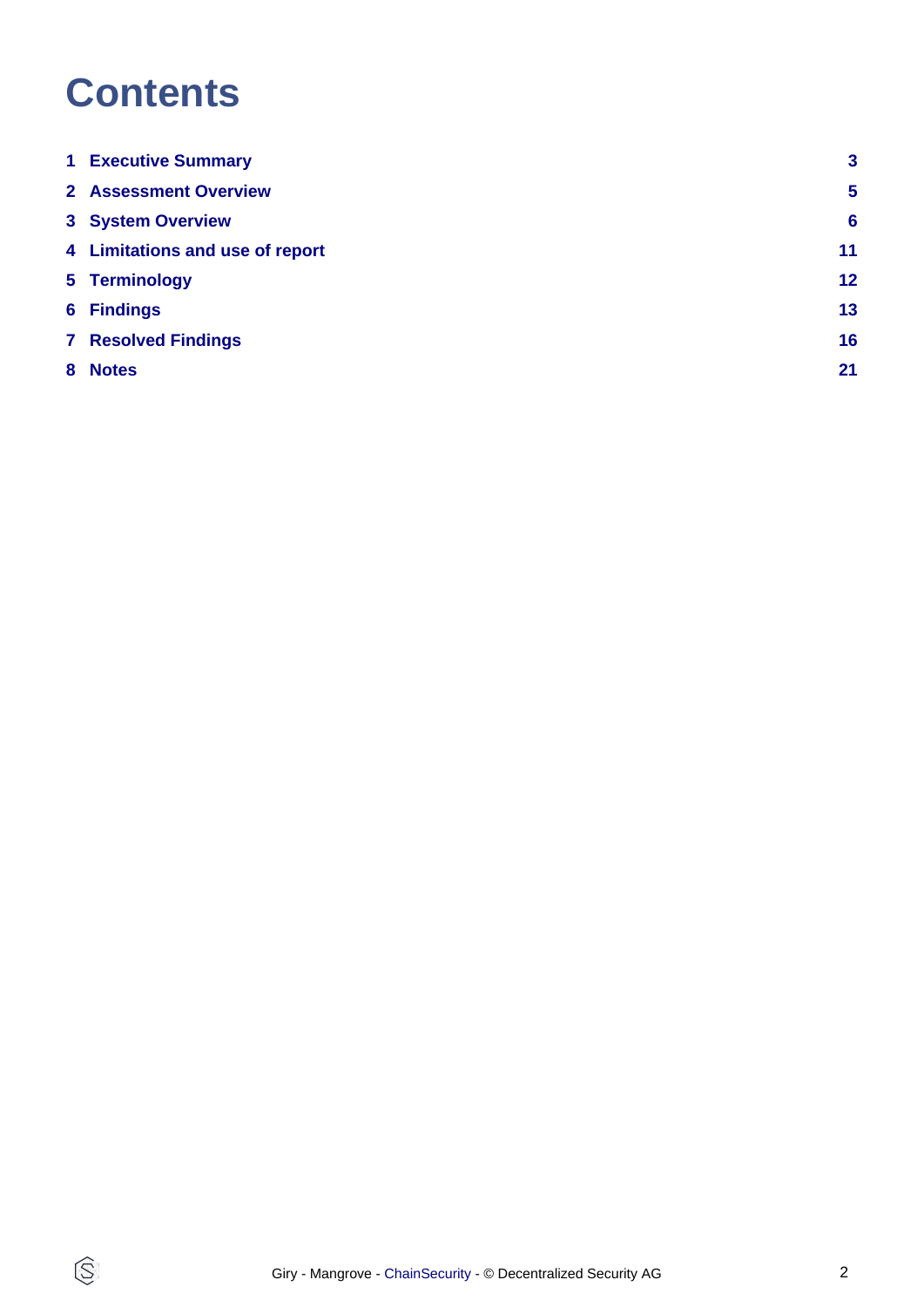## **Contents**

 $\circledS$ 

| <b>1 Executive Summary</b>      | 3               |
|---------------------------------|-----------------|
| 2 Assessment Overview           | $5\phantom{1}$  |
| <b>3 System Overview</b>        | $6\phantom{1}6$ |
| 4 Limitations and use of report | 11              |
| 5 Terminology                   | 12 <sub>2</sub> |
| <b>6 Findings</b>               | 13              |
| <b>7 Resolved Findings</b>      | 16              |
| 8 Notes                         | 21              |
|                                 |                 |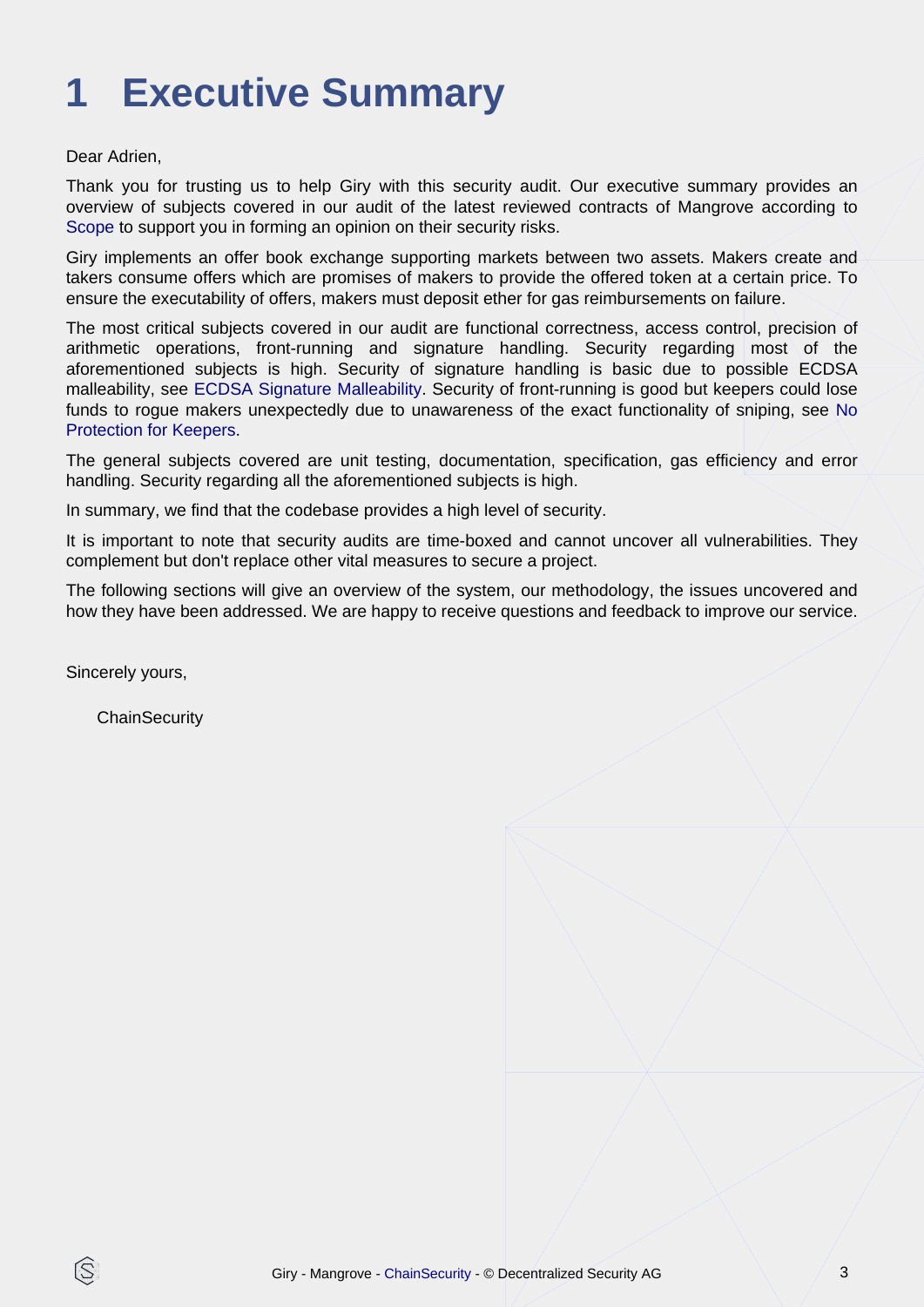# <span id="page-2-0"></span>**1 Executive Summary**

### Dear Adrien,

Thank you for trusting us to help Giry with this security audit. Our executive summary provides an overview of subjects covered in our audit of the latest reviewed contracts of Mangrove according to [Scope](#page-4-1) to support you in forming an opinion on their security risks.

Giry implements an offer book exchange supporting markets between two assets. Makers create and takers consume offers which are promises of makers to provide the offered token at a certain price. To ensure the executability of offers, makers must deposit ether for gas reimbursements on failure.

The most critical subjects covered in our audit are functional correctness, access control, precision of arithmetic operations, front-running and signature handling. Security regarding most of the aforementioned subjects is high. Security of signature handling is basic due to possible ECDSA malleability, see [ECDSA Signature Malleability.](#page-12-1) Security of front-running is good but keepers could lose funds to rogue makers unexpectedly due to unawareness of the exact functionality of sniping, [see No](#page-12-2) [Protection for Keepers.](#page-12-2)

The general subjects covered are unit testing, documentation, specification, gas efficiency and error handling. Security regarding all the aforementioned subjects is high.

In summary, we find that the codebase provides a high level of security.

It is important to note that security audits are time-boxed and cannot uncover all vulnerabilities. They complement but don't replace other vital measures to secure a project.

The following sections will give an overview of the system, our methodology, the issues uncovered and how they have been addressed. We are happy to receive questions and feedback to improve our service.

Sincerely yours,

ß

**ChainSecurity**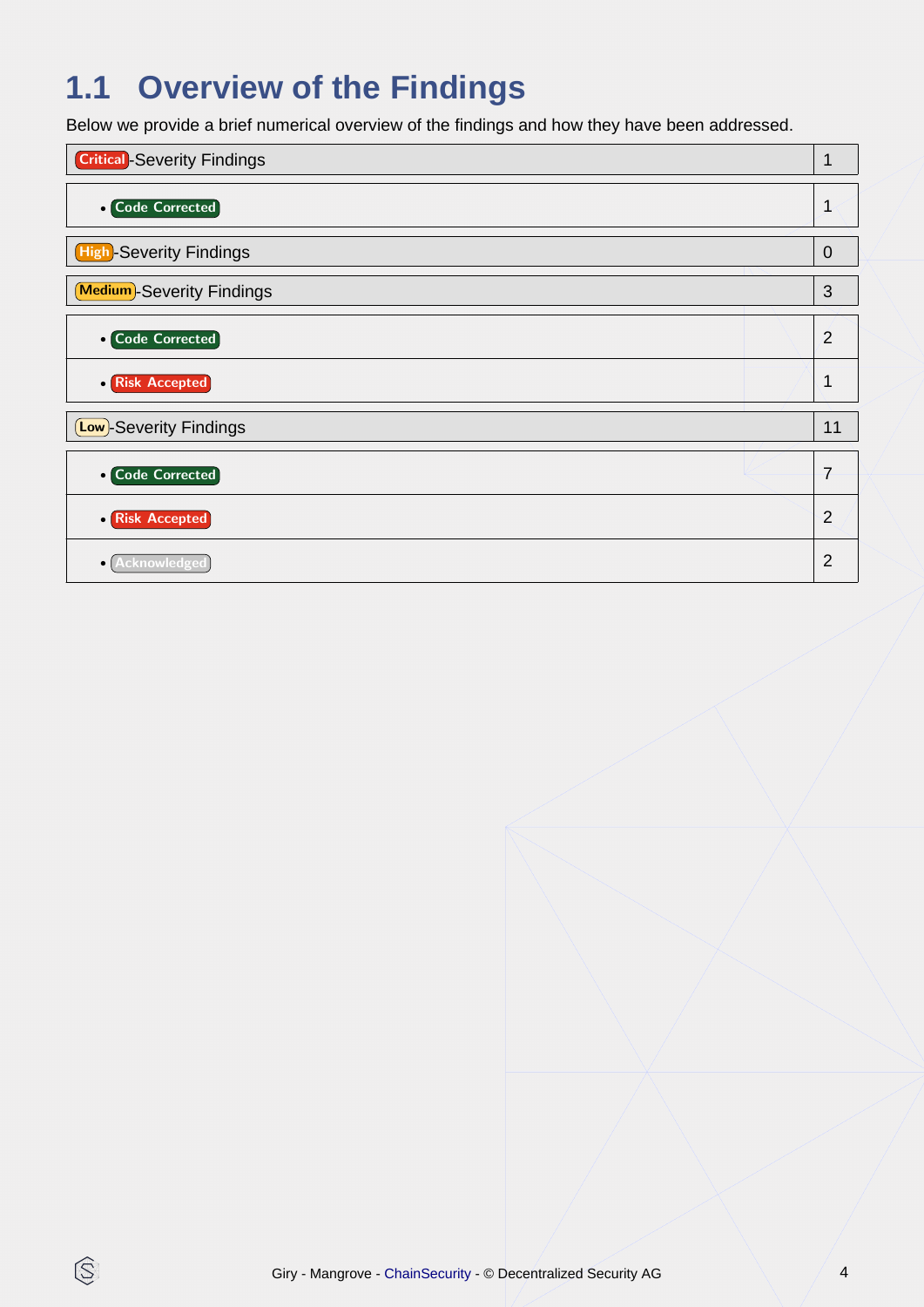## **1.1 Overview of the Findings**

Below we provide a brief numerical overview of the findings and how they have been addressed.



 $\circledS$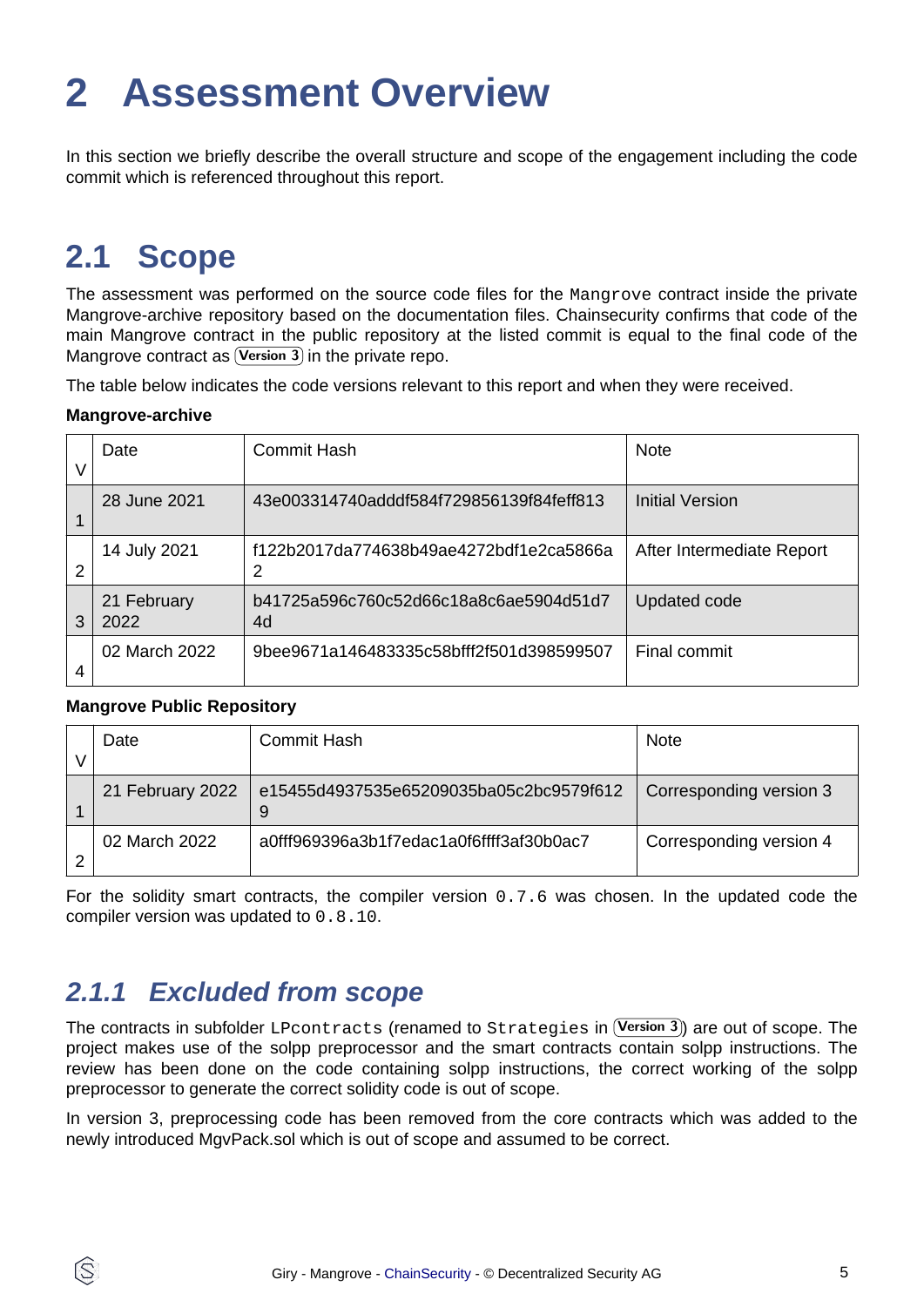## <span id="page-4-2"></span><span id="page-4-0"></span>**2 Assessment Overview**

In this section we briefly describe the overall structure and scope of the engagement including the code commit which is referenced throughout this report.

## <span id="page-4-1"></span>**2.1 Scope**

Mangrove contract as (Version  $3$ ) in the private repo. The assessment was performed on the source code files for the Mangrove contract inside the private Mangrove-archive repository based on the documentation files. Chainsecurity confirms that code of the main Mangrove contract in the public repository at the listed commit is equal to the final code of the

The table below indicates the code versions relevant to this report and when they were received.

#### **Mangrove-archive**

|   | Date                | <b>Commit Hash</b>                           | <b>Note</b>               |
|---|---------------------|----------------------------------------------|---------------------------|
|   | 28 June 2021        | 43e003314740adddf584f729856139f84feff813     | Initial Version           |
| 2 | 14 July 2021        | f122b2017da774638b49ae4272bdf1e2ca5866a<br>2 | After Intermediate Report |
| 3 | 21 February<br>2022 | b41725a596c760c52d66c18a8c6ae5904d51d7<br>4d | Updated code              |
| 4 | 02 March 2022       | 9bee9671a146483335c58bfff2f501d398599507     | Final commit              |

#### **Mangrove Public Repository**

ÍŜ

| Date             | Commit Hash                                  | <b>Note</b>             |
|------------------|----------------------------------------------|-------------------------|
| 21 February 2022 | e15455d4937535e65209035ba05c2bc9579f612<br>9 | Corresponding version 3 |
| 02 March 2022    | a0fff969396a3b1f7edac1a0f6ffff3af30b0ac7     | Corresponding version 4 |

For the solidity smart contracts, the compiler version 0.7.6 was chosen. In the updated code the compiler version was updated to 0.8.10.

### **2.1.1 Excluded from scope**

The contracts in subfolder <code>LPcontracts</code> (renamed to <code>Strategies</code> in  $(\mathtt{Version 3})$  are out of scope. The project makes use of the solpp preprocessor and the smart contracts contain solpp instructions. The review has been done on the code containing solpp instructions, the correct working of the solpp preprocessor to generate the correct solidity code is out of scope.

In version 3, preprocessing code has been removed from the core contracts which was added to the newly introduced MgvPack.sol which is out of scope and assumed to be correct.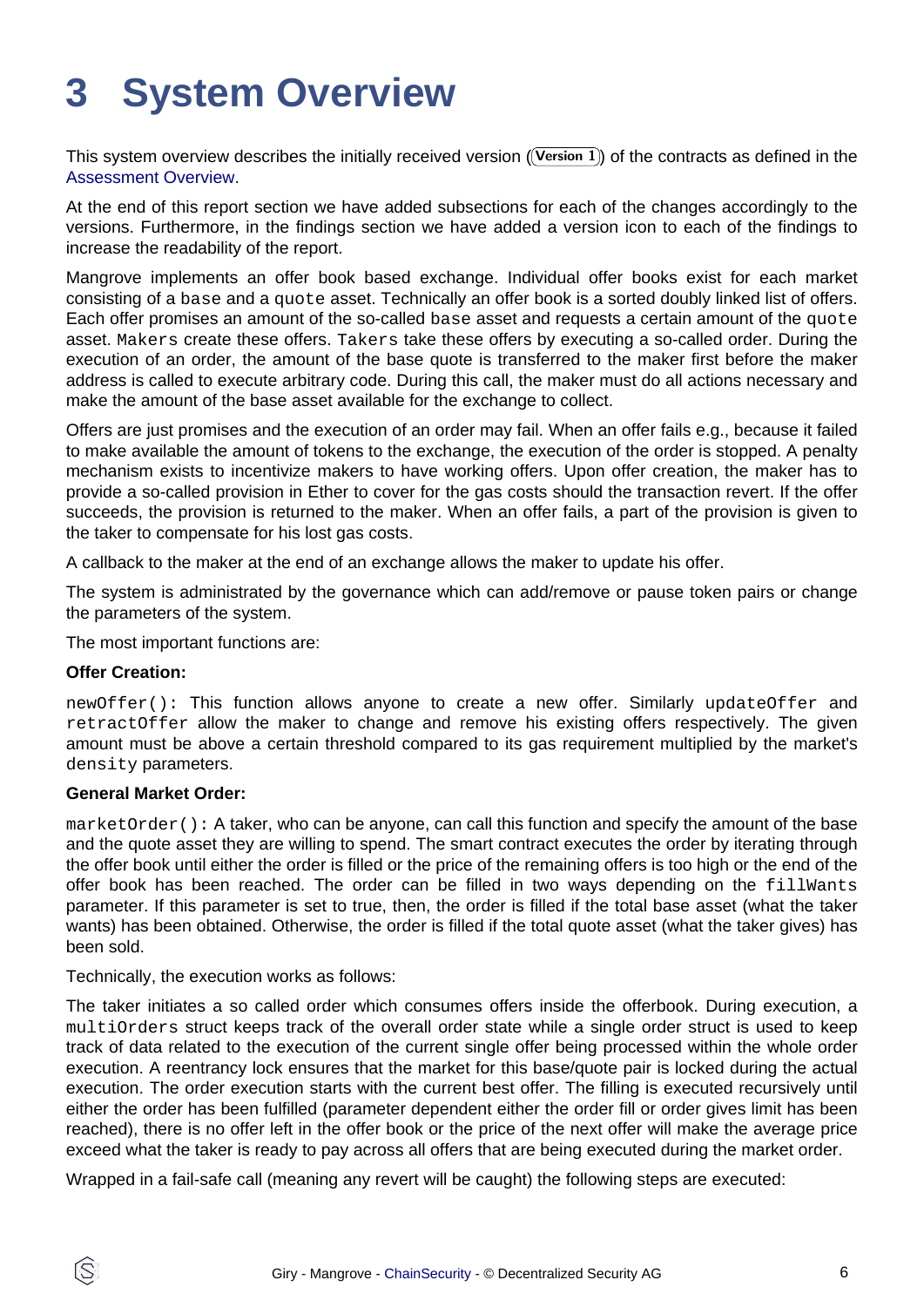# <span id="page-5-0"></span>**3 System Overview**

This system overview describes the initially received version ((Version 1)) of the contracts as defined in the [Assessment Overview](#page-4-2).

At the end of this report section we have added subsections for each of the changes accordingly to the versions. Furthermore, in the findings section we have added a version icon to each of the findings to increase the readability of the report.

Mangrove implements an offer book based exchange. Individual offer books exist for each market consisting of a base and a quote asset. Technically an offer book is a sorted doubly linked list of offers. Each offer promises an amount of the so-called base asset and requests a certain amount of the quote asset. Makers create these offers. Takers take these offers by executing a so-called order. During the execution of an order, the amount of the base quote is transferred to the maker first before the maker address is called to execute arbitrary code. During this call, the maker must do all actions necessary and make the amount of the base asset available for the exchange to collect.

Offers are just promises and the execution of an order may fail. When an offer fails e.g., because it failed to make available the amount of tokens to the exchange, the execution of the order is stopped. A penalty mechanism exists to incentivize makers to have working offers. Upon offer creation, the maker has to provide a so-called provision in Ether to cover for the gas costs should the transaction revert. If the offer succeeds, the provision is returned to the maker. When an offer fails, a part of the provision is given to the taker to compensate for his lost gas costs.

A callback to the maker at the end of an exchange allows the maker to update his offer.

The system is administrated by the governance which can add/remove or pause token pairs or change the parameters of the system.

The most important functions are:

#### **Offer Creation:**

newOffer(): This function allows anyone to create a new offer. Similarly updateOffer and retractOffer allow the maker to change and remove his existing offers respectively. The given amount must be above a certain threshold compared to its gas requirement multiplied by the market's density parameters.

#### **General Market Order:**

marketOrder(): A taker, who can be anyone, can call this function and specify the amount of the base and the quote asset they are willing to spend. The smart contract executes the order by iterating through the offer book until either the order is filled or the price of the remaining offers is too high or the end of the offer book has been reached. The order can be filled in two ways depending on the fillWants parameter. If this parameter is set to true, then, the order is filled if the total base asset (what the taker wants) has been obtained. Otherwise, the order is filled if the total quote asset (what the taker gives) has been sold.

Technically, the execution works as follows:

The taker initiates a so called order which consumes offers inside the offerbook. During execution, a multiOrders struct keeps track of the overall order state while a single order struct is used to keep track of data related to the execution of the current single offer being processed within the whole order execution. A reentrancy lock ensures that the market for this base/quote pair is locked during the actual execution. The order execution starts with the current best offer. The filling is executed recursively until either the order has been fulfilled (parameter dependent either the order fill or order gives limit has been reached), there is no offer left in the offer book or the price of the next offer will make the average price exceed what the taker is ready to pay across all offers that are being executed during the market order.

Wrapped in a fail-safe call (meaning any revert will be caught) the following steps are executed: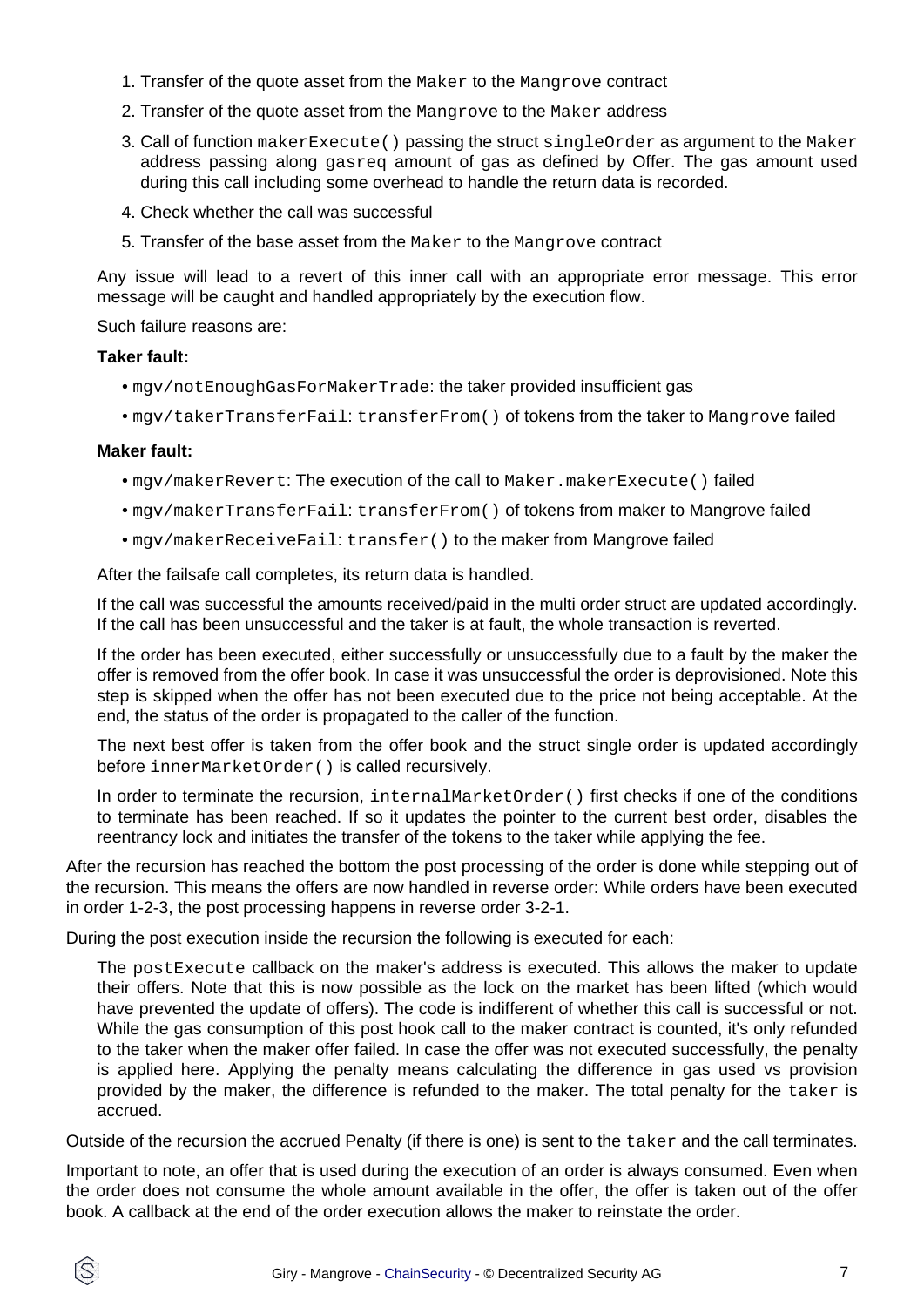- 1. Transfer of the quote asset from the Maker to the Mangrove contract
- 2. Transfer of the quote asset from the Mangrove to the Maker address
- 3. Call of function makerExecute() passing the struct singleOrder as argument to the Maker address passing along gasreq amount of gas as defined by Offer. The gas amount used during this call including some overhead to handle the return data is recorded.
- 4. Check whether the call was successful
- 5. Transfer of the base asset from the Maker to the Mangrove contract

Any issue will lead to a revert of this inner call with an appropriate error message. This error message will be caught and handled appropriately by the execution flow.

Such failure reasons are:

#### **Taker fault:**

- mgv/notEnoughGasForMakerTrade: the taker provided insufficient gas
- mgv/takerTransferFail: transferFrom() of tokens from the taker to Mangrove failed

#### **Maker fault:**

- mgv/makerRevert: The execution of the call to Maker.makerExecute() failed
- mgv/makerTransferFail: transferFrom() of tokens from maker to Mangrove failed
- mgv/makerReceiveFail: transfer() to the maker from Mangrove failed

After the failsafe call completes, its return data is handled.

If the call was successful the amounts received/paid in the multi order struct are updated accordingly. If the call has been unsuccessful and the taker is at fault, the whole transaction is reverted.

If the order has been executed, either successfully or unsuccessfully due to a fault by the maker the offer is removed from the offer book. In case it was unsuccessful the order is deprovisioned. Note this step is skipped when the offer has not been executed due to the price not being acceptable. At the end, the status of the order is propagated to the caller of the function.

The next best offer is taken from the offer book and the struct single order is updated accordingly before innerMarketOrder() is called recursively.

In order to terminate the recursion, internalMarketOrder() first checks if one of the conditions to terminate has been reached. If so it updates the pointer to the current best order, disables the reentrancy lock and initiates the transfer of the tokens to the taker while applying the fee.

After the recursion has reached the bottom the post processing of the order is done while stepping out of the recursion. This means the offers are now handled in reverse order: While orders have been executed in order 1-2-3, the post processing happens in reverse order 3-2-1.

During the post execution inside the recursion the following is executed for each:

The postExecute callback on the maker's address is executed. This allows the maker to update their offers. Note that this is now possible as the lock on the market has been lifted (which would have prevented the update of offers). The code is indifferent of whether this call is successful or not. While the gas consumption of this post hook call to the maker contract is counted, it's only refunded to the taker when the maker offer failed. In case the offer was not executed successfully, the penalty is applied here. Applying the penalty means calculating the difference in gas used vs provision provided by the maker, the difference is refunded to the maker. The total penalty for the taker is accrued.

Outside of the recursion the accrued Penalty (if there is one) is sent to the taker and the call terminates.

Important to note, an offer that is used during the execution of an order is always consumed. Even when the order does not consume the whole amount available in the offer, the offer is taken out of the offer book. A callback at the end of the order execution allows the maker to reinstate the order.

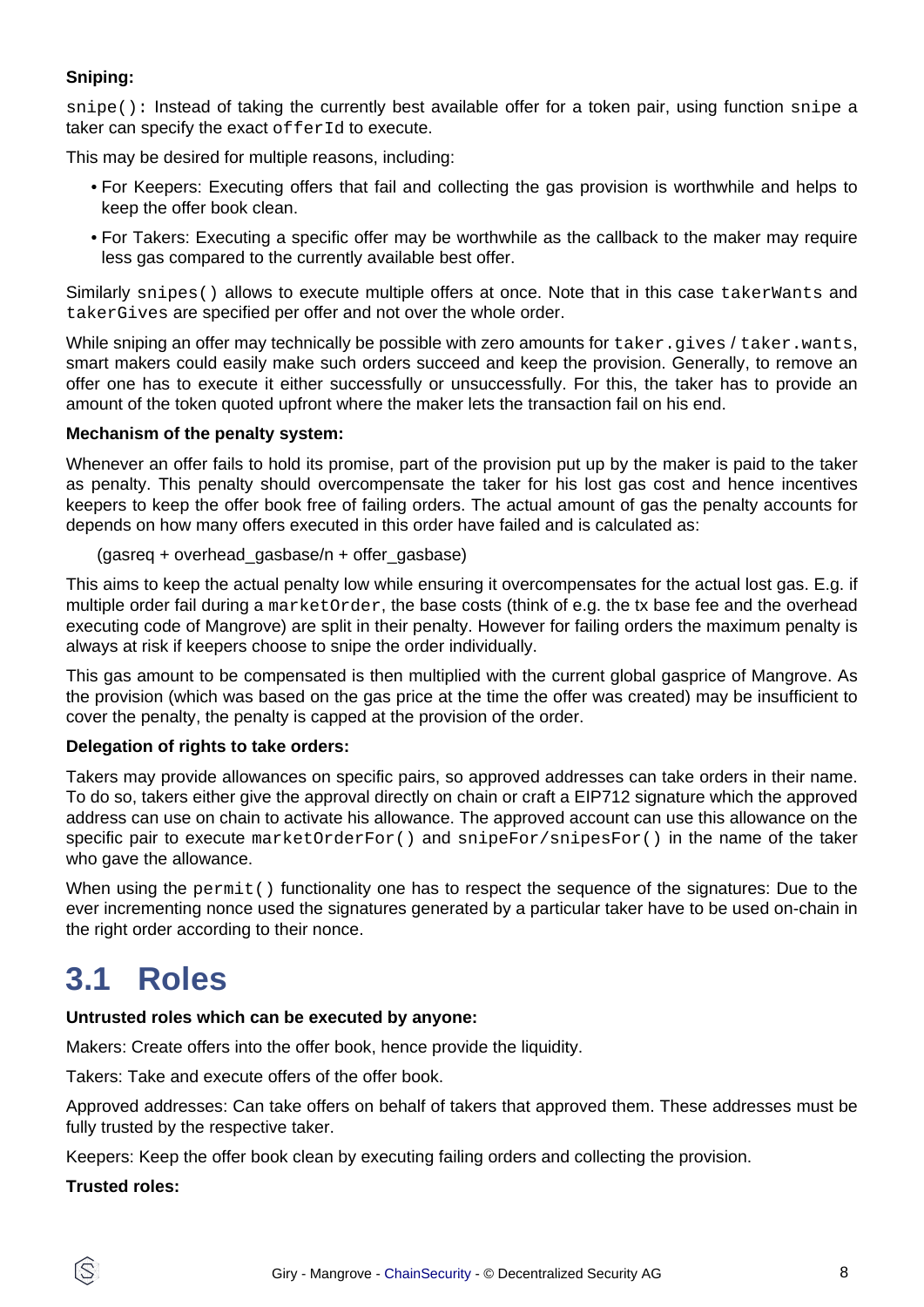### **Sniping:**

snipe(): Instead of taking the currently best available offer for a token pair, using function snipe a taker can specify the exact of ferId to execute.

This may be desired for multiple reasons, including:

- For Keepers: Executing offers that fail and collecting the gas provision is worthwhile and helps to keep the offer book clean.
- For Takers: Executing a specific offer may be worthwhile as the callback to the maker may require less gas compared to the currently available best offer.

Similarly snipes() allows to execute multiple offers at once. Note that in this case takerWants and takerGives are specified per offer and not over the whole order.

While sniping an offer may technically be possible with zero amounts for taker.gives / taker.wants, smart makers could easily make such orders succeed and keep the provision. Generally, to remove an offer one has to execute it either successfully or unsuccessfully. For this, the taker has to provide an amount of the token quoted upfront where the maker lets the transaction fail on his end.

#### **Mechanism of the penalty system:**

Whenever an offer fails to hold its promise, part of the provision put up by the maker is paid to the taker as penalty. This penalty should overcompensate the taker for his lost gas cost and hence incentives keepers to keep the offer book free of failing orders. The actual amount of gas the penalty accounts for depends on how many offers executed in this order have failed and is calculated as:

(gasreq + overhead\_gasbase/n + offer\_gasbase)

This aims to keep the actual penalty low while ensuring it overcompensates for the actual lost gas. E.g. if multiple order fail during a marketOrder, the base costs (think of e.g. the tx base fee and the overhead executing code of Mangrove) are split in their penalty. However for failing orders the maximum penalty is always at risk if keepers choose to snipe the order individually.

This gas amount to be compensated is then multiplied with the current global gasprice of Mangrove. As the provision (which was based on the gas price at the time the offer was created) may be insufficient to cover the penalty, the penalty is capped at the provision of the order.

#### **Delegation of rights to take orders:**

Takers may provide allowances on specific pairs, so approved addresses can take orders in their name. To do so, takers either give the approval directly on chain or craft a EIP712 signature which the approved address can use on chain to activate his allowance. The approved account can use this allowance on the specific pair to execute marketOrderFor() and snipeFor/snipesFor() in the name of the taker who gave the allowance.

When using the permit() functionality one has to respect the sequence of the signatures: Due to the ever incrementing nonce used the signatures generated by a particular taker have to be used on-chain in the right order according to their nonce.

### **3.1 Roles**

#### **Untrusted roles which can be executed by anyone:**

Makers: Create offers into the offer book, hence provide the liquidity.

Takers: Take and execute offers of the offer book.

Approved addresses: Can take offers on behalf of takers that approved them. These addresses must be fully trusted by the respective taker.

Keepers: Keep the offer book clean by executing failing orders and collecting the provision.

#### **Trusted roles:**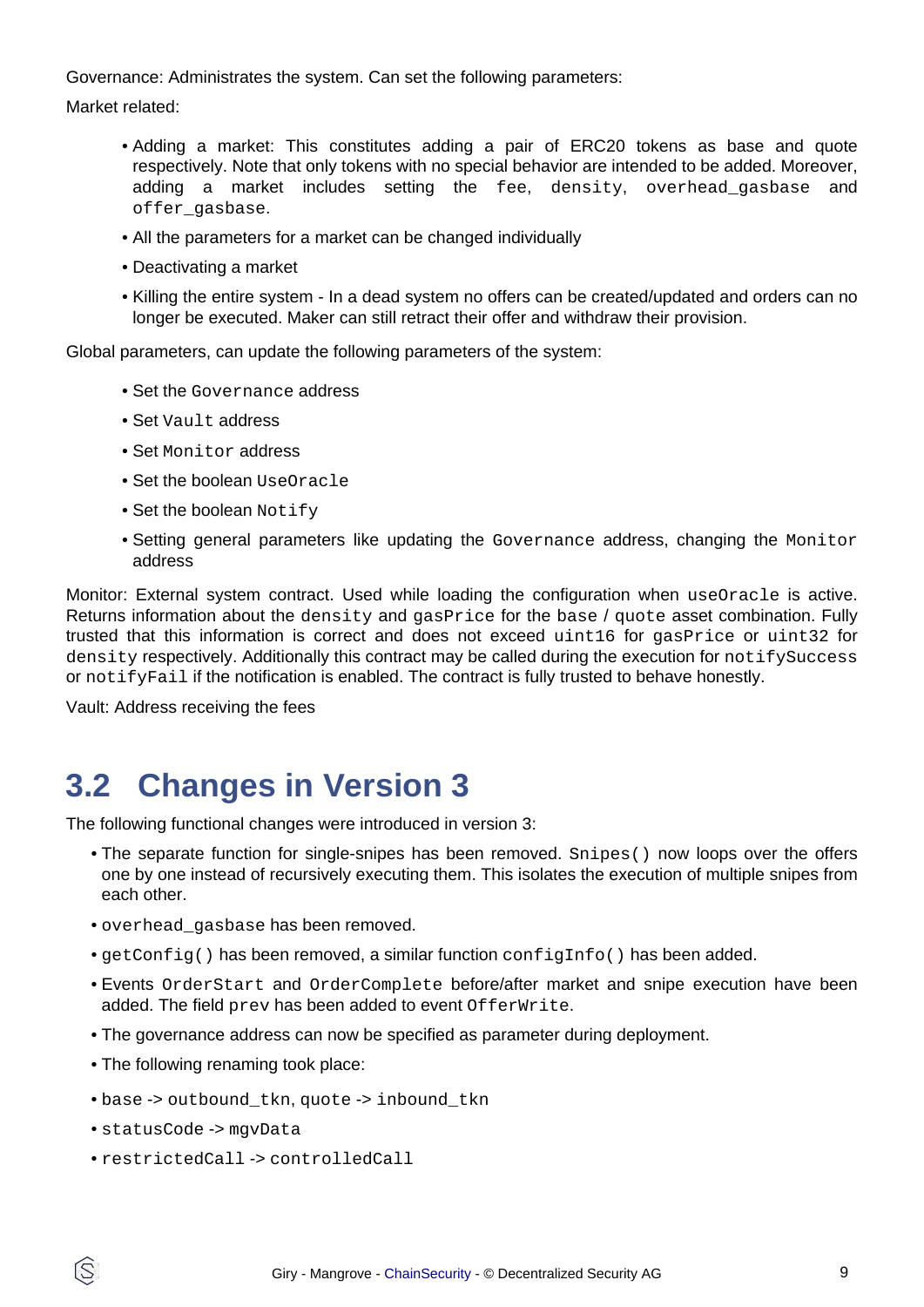Governance: Administrates the system. Can set the following parameters:

Market related:

- Adding a market: This constitutes adding a pair of ERC20 tokens as base and quote respectively. Note that only tokens with no special behavior are intended to be added. Moreover, adding a market includes setting the fee, density, overhead gasbase and offer\_gasbase.
- All the parameters for a market can be changed individually
- Deactivating a market
- Killing the entire system In a dead system no offers can be created/updated and orders can no longer be executed. Maker can still retract their offer and withdraw their provision.

Global parameters, can update the following parameters of the system:

- Set the Governance address
- Set Vault address
- Set Monitor address
- Set the boolean UseOracle
- Set the boolean Notify
- Setting general parameters like updating the Governance address, changing the Monitor address

Monitor: External system contract. Used while loading the configuration when useOracle is active. Returns information about the density and gasPrice for the base / quote asset combination. Fully trusted that this information is correct and does not exceed uint16 for gasPrice or uint32 for density respectively. Additionally this contract may be called during the execution for notifySuccess or notifyFail if the notification is enabled. The contract is fully trusted to behave honestly.

Vault: Address receiving the fees

### **3.2 Changes in Version 3**

The following functional changes were introduced in version 3:

- The separate function for single-snipes has been removed. Snipes() now loops over the offers one by one instead of recursively executing them. This isolates the execution of multiple snipes from each other.
- overhead\_gasbase has been removed.
- $qetConfig()$  has been removed, a similar function  $configInfo()$  has been added.
- Events OrderStart and OrderComplete before/after market and snipe execution have been added. The field prev has been added to event OfferWrite.
- The governance address can now be specified as parameter during deployment.
- The following renaming took place:
- base -> outbound\_tkn, quote -> inbound\_tkn
- statusCode -> mgvData
- restrictedCall -> controlledCall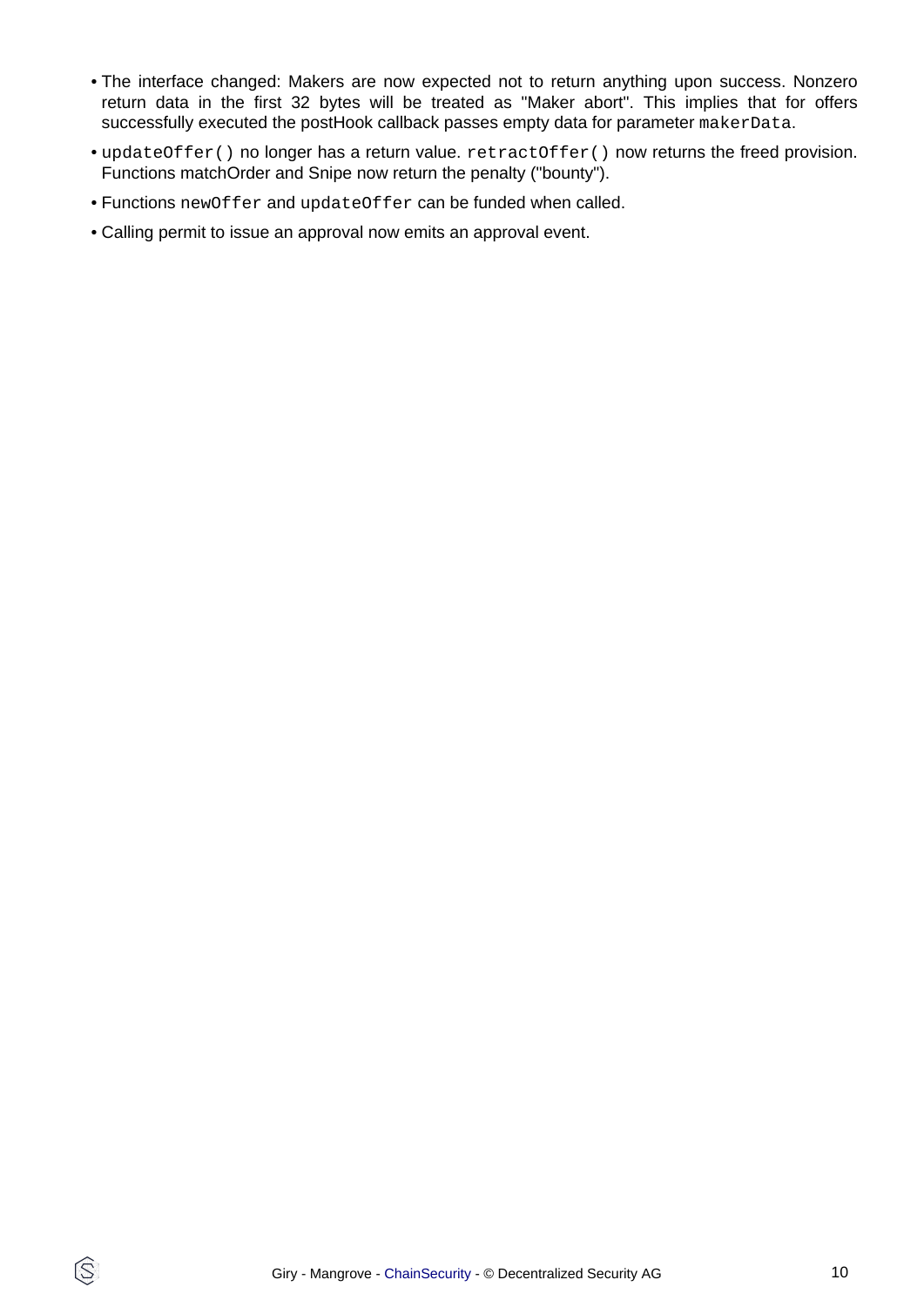- The interface changed: Makers are now expected not to return anything upon success. Nonzero return data in the first 32 bytes will be treated as "Maker abort". This implies that for offers successfully executed the postHook callback passes empty data for parameter makerData.
- updateOffer() no longer has a return value. retractOffer() now returns the freed provision. Functions matchOrder and Snipe now return the penalty ("bounty").
- Functions newOffer and updateOffer can be funded when called.
- Calling permit to issue an approval now emits an approval event.

Q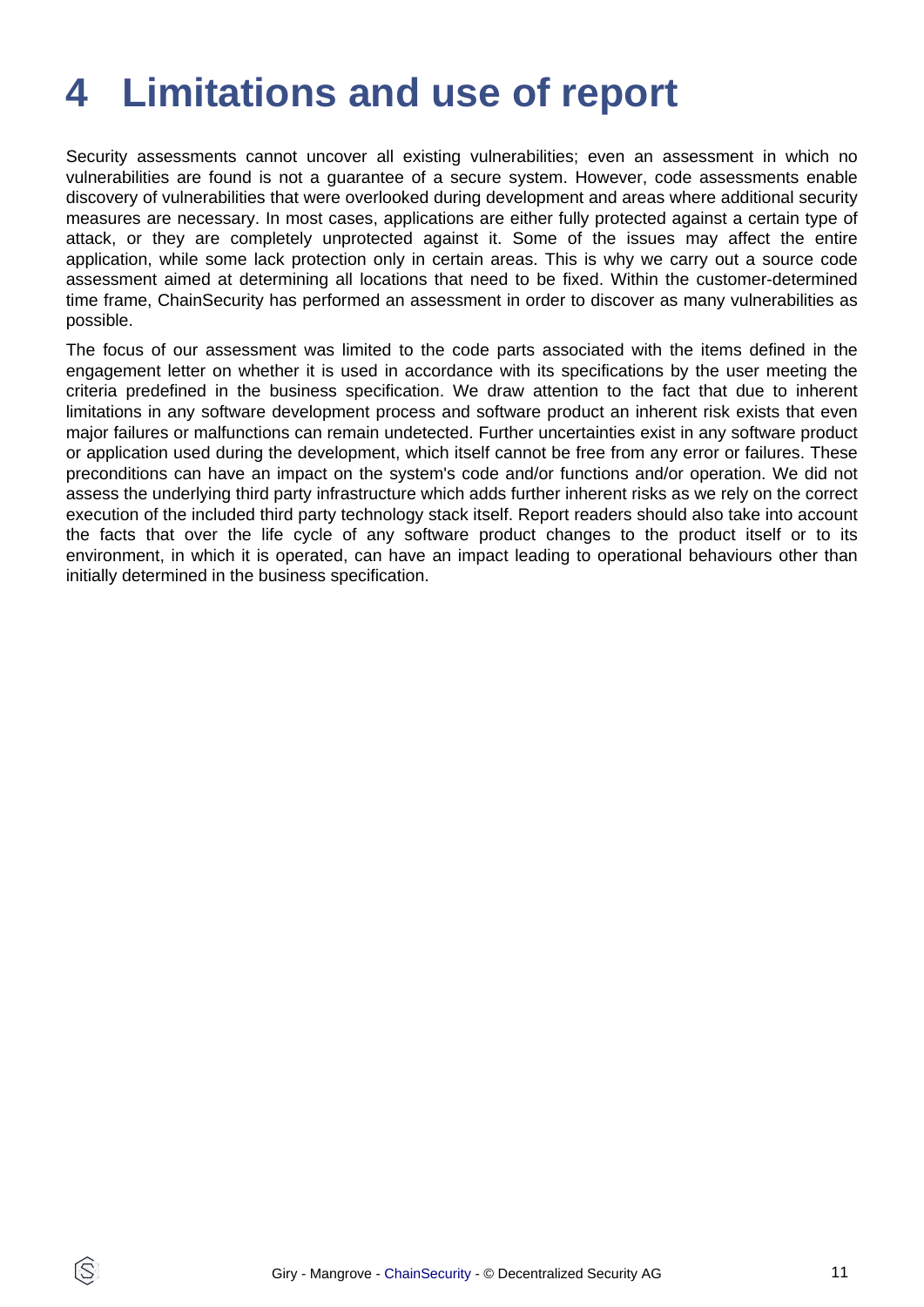## <span id="page-10-0"></span>**4 Limitations and use of report**

Security assessments cannot uncover all existing vulnerabilities; even an assessment in which no vulnerabilities are found is not a guarantee of a secure system. However, code assessments enable discovery of vulnerabilities that were overlooked during development and areas where additional security measures are necessary. In most cases, applications are either fully protected against a certain type of attack, or they are completely unprotected against it. Some of the issues may affect the entire application, while some lack protection only in certain areas. This is why we carry out a source code assessment aimed at determining all locations that need to be fixed. Within the customer-determined time frame, ChainSecurity has performed an assessment in order to discover as many vulnerabilities as possible.

The focus of our assessment was limited to the code parts associated with the items defined in the engagement letter on whether it is used in accordance with its specifications by the user meeting the criteria predefined in the business specification. We draw attention to the fact that due to inherent limitations in any software development process and software product an inherent risk exists that even major failures or malfunctions can remain undetected. Further uncertainties exist in any software product or application used during the development, which itself cannot be free from any error or failures. These preconditions can have an impact on the system's code and/or functions and/or operation. We did not assess the underlying third party infrastructure which adds further inherent risks as we rely on the correct execution of the included third party technology stack itself. Report readers should also take into account the facts that over the life cycle of any software product changes to the product itself or to its environment, in which it is operated, can have an impact leading to operational behaviours other than initially determined in the business specification.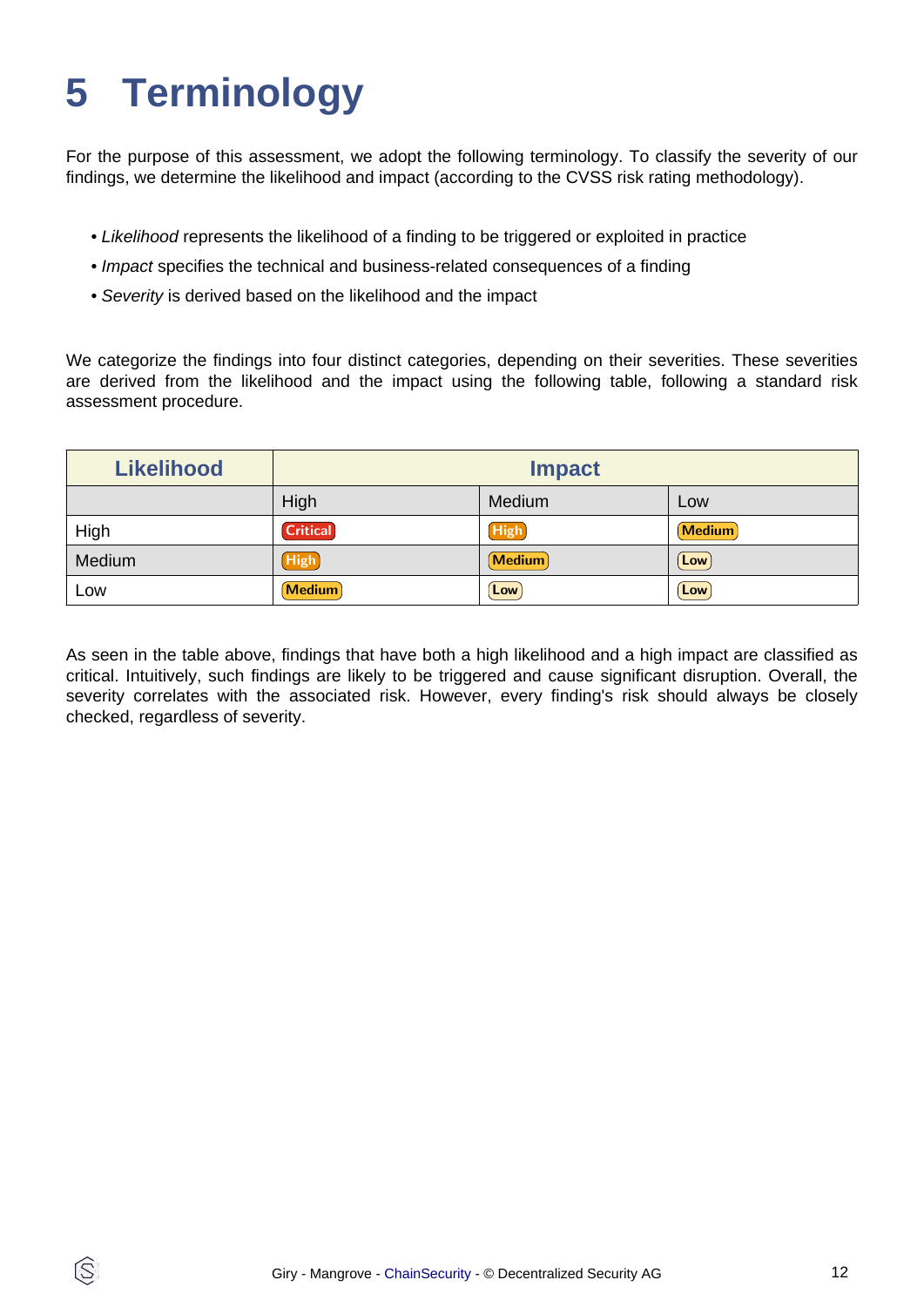# <span id="page-11-0"></span>**5 Terminology**

ĺS

For the purpose of this assessment, we adopt the following terminology. To classify the severity of our findings, we determine the likelihood and impact (according to the CVSS risk rating methodology).

- Likelihood represents the likelihood of a finding to be triggered or exploited in practice
- Impact specifies the technical and business-related consequences of a finding
- Severity is derived based on the likelihood and the impact

We categorize the findings into four distinct categories, depending on their severities. These severities are derived from the likelihood and the impact using the following table, following a standard risk assessment procedure.

| <b>Likelihood</b> | <b>Impact</b>   |             |               |
|-------------------|-----------------|-------------|---------------|
|                   | High            | Medium      | Low           |
| High              | <b>Critical</b> | <b>High</b> | <b>Medium</b> |
| Medium            | High            | Medium      | $\lfloor$ Low |
| Low               | <b>Medium</b>   | Low         | Low           |

As seen in the table above, findings that have both a high likelihood and a high impact are classified as critical. Intuitively, such findings are likely to be triggered and cause significant disruption. Overall, the severity correlates with the associated risk. However, every finding's risk should always be closely checked, regardless of severity.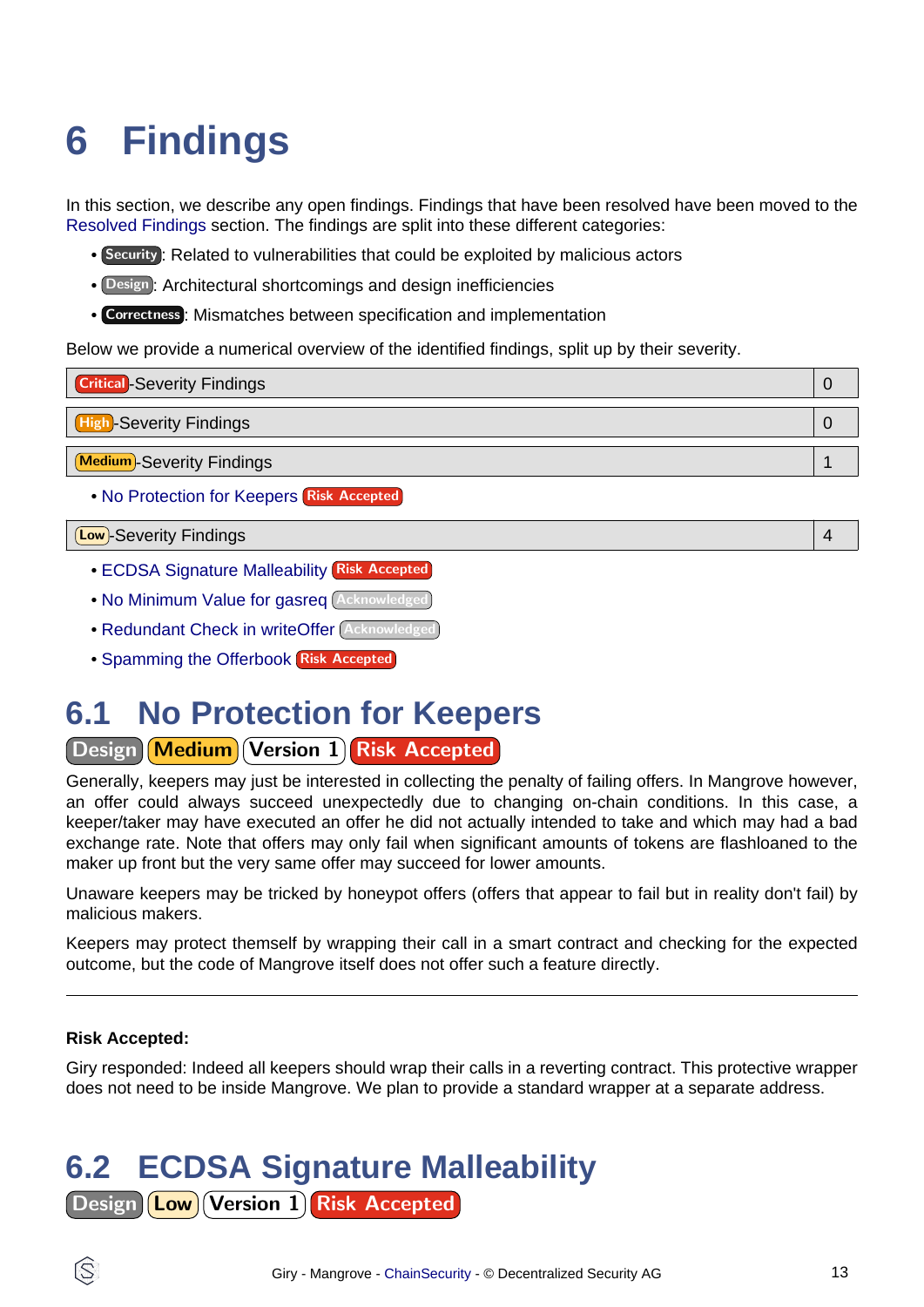# <span id="page-12-3"></span><span id="page-12-0"></span>**6 Findings**

In this section, we describe any open findings. Findings that have been resolved have been moved to the [Resolved Findings](#page-15-1) section. The findings are split into these different categories:

- Security : Related to vulnerabilities that could be exploited by malicious actors
- Design : Architectural shortcomings and design inefficiencies
- Correctness : Mismatches between specification and implementation

Below we provide a numerical overview of the identified findings, split up by their severity.



Low -Severity Findings 4

- [ECDSA Signature Malleability](#page-12-1) Risk Accepted
- [No Minimum Value for gasreq](#page-13-0) Acknowledged
- [Redundant Check in writeOffer](#page-13-1) Acknowledged
- [Spamming the Offerbook](#page-13-2) Risk Accepted

### <span id="page-12-2"></span>**6.1 No Protection for Keepers**

Design Medium Version 1 Risk Accepted

Generally, keepers may just be interested in collecting the penalty of failing offers. In Mangrove however, an offer could always succeed unexpectedly due to changing on-chain conditions. In this case, a keeper/taker may have executed an offer he did not actually intended to take and which may had a bad exchange rate. Note that offers may only fail when significant amounts of tokens are flashloaned to the maker up front but the very same offer may succeed for lower amounts.

Unaware keepers may be tricked by honeypot offers (offers that appear to fail but in reality don't fail) by malicious makers.

Keepers may protect themself by wrapping their call in a smart contract and checking for the expected outcome, but the code of Mangrove itself does not offer such a feature directly.

### **Risk Accepted:**

Giry responded: Indeed all keepers should wrap their calls in a reverting contract. This protective wrapper does not need to be inside Mangrove. We plan to provide a standard wrapper at a separate address.

## <span id="page-12-1"></span>**6.2 ECDSA Signature Malleability**

Design **Low** Version 1 Risk Accepted

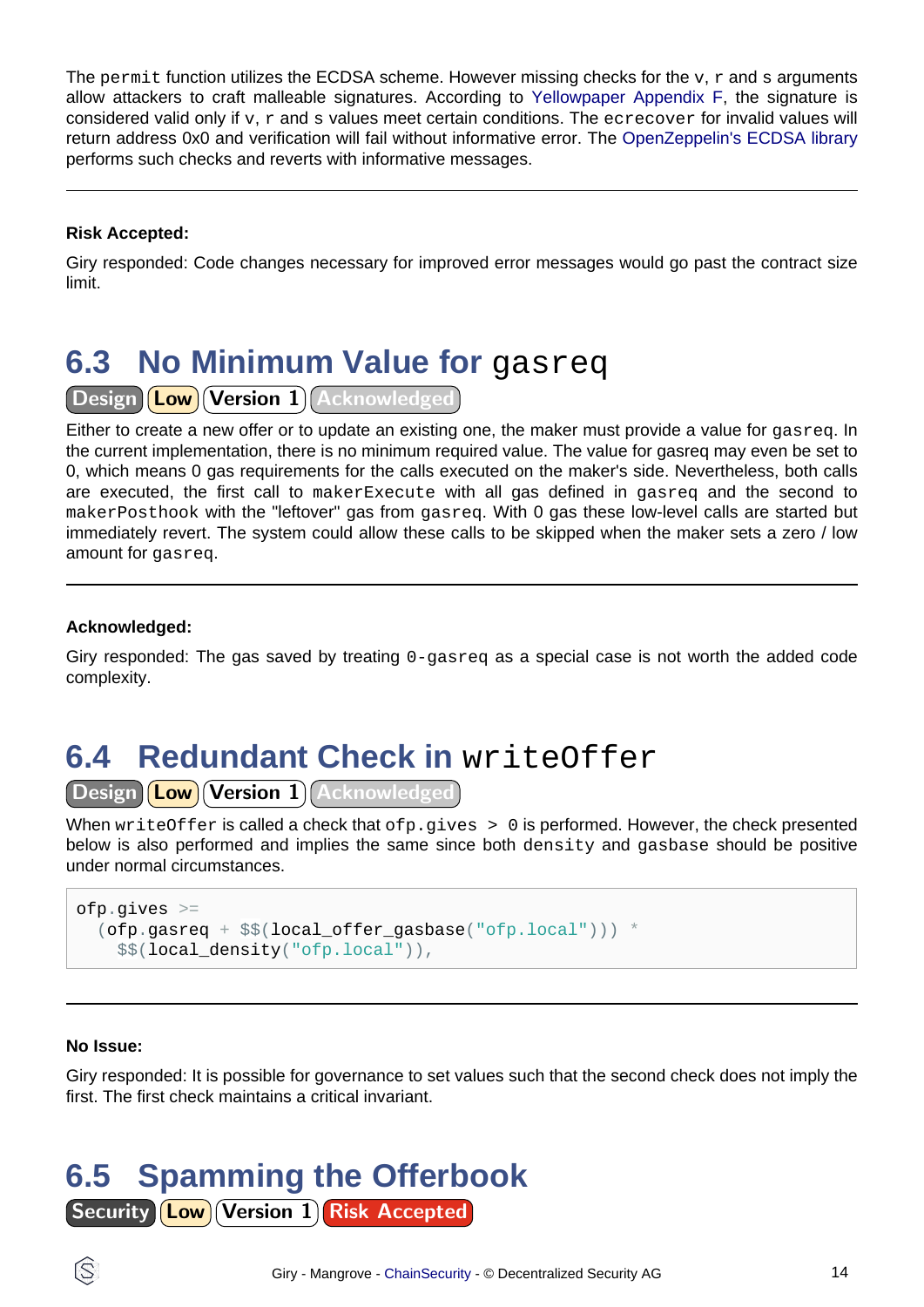The permit function utilizes the ECDSA scheme. However missing checks for the  $v, r$  and s arguments allow attackers to craft malleable signatures. According [to Yellowpaper Appendix F,](https://ethereum.github.io/yellowpaper/paper.pdf) the signature is considered valid only if  $v, r$  and s values meet certain conditions. The ecrecover for invalid values will return address 0x0 and verification will fail without informative error. Th[e OpenZeppelin's ECDSA library](https://github.com/OpenZeppelin/openzeppelin-contracts/blob/master/contracts/utils/cryptography/ECDSA.sol) performs such checks and reverts with informative messages.

### **Risk Accepted:**

Giry responded: Code changes necessary for improved error messages would go past the contract size limit.

## <span id="page-13-0"></span>**6.3 No Minimum Value for gasred**

Design **Low** Version 1 Acknowledged

Either to create a new offer or to update an existing one, the maker must provide a value for gasreq. In the current implementation, there is no minimum required value. The value for gasreq may even be set to 0, which means 0 gas requirements for the calls executed on the maker's side. Nevertheless, both calls are executed, the first call to makerExecute with all gas defined in gasreq and the second to makerPosthook with the "leftover" gas from gasreq. With 0 gas these low-level calls are started but immediately revert. The system could allow these calls to be skipped when the maker sets a zero / low amount for gasreq.

### **Acknowledged:**

Giry responded: The gas saved by treating  $0$ -gasreg as a special case is not worth the added code complexity.

## <span id="page-13-1"></span>**6.4 Redundant Check in** writeOffer

Design **Low Version 1** Acknowledged

When writeOffer is called a check that  $ofp,qives > 0$  is performed. However, the check presented below is also performed and implies the same since both density and gasbase should be positive under normal circumstances.

```
ofp.gives >=
   (ofp.gasreq + $$(local_offer_gasbase("ofp.local"))) *
     $$(local_density("ofp.local")),
```
#### **No Issue:**

Giry responded: It is possible for governance to set values such that the second check does not imply the first. The first check maintains a critical invariant.

## <span id="page-13-2"></span>**6.5 Spamming the Offerbook**

**Security Low Version 1 Risk Accepted** 

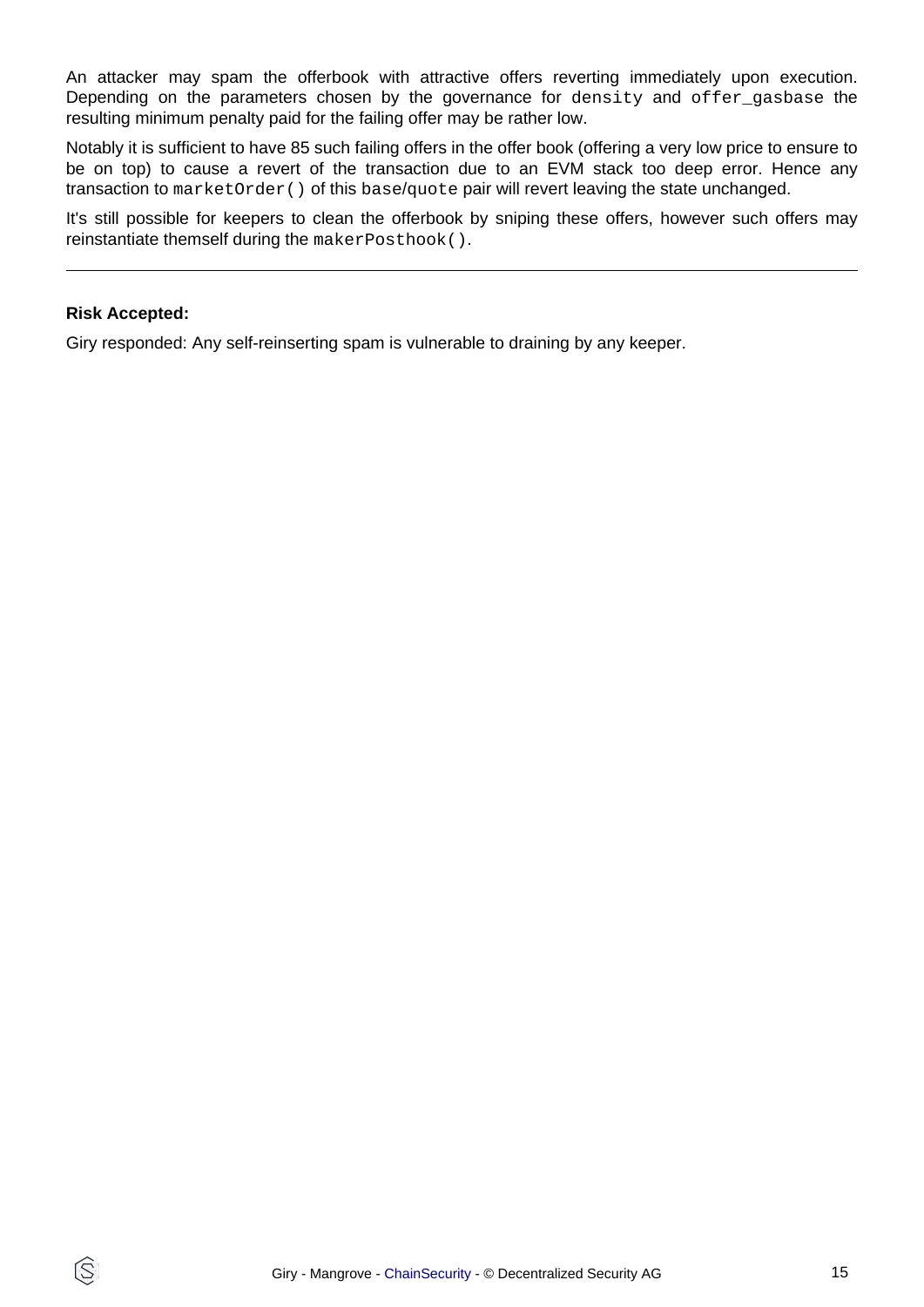An attacker may spam the offerbook with attractive offers reverting immediately upon execution. Depending on the parameters chosen by the governance for density and offer\_gasbase the resulting minimum penalty paid for the failing offer may be rather low.

Notably it is sufficient to have 85 such failing offers in the offer book (offering a very low price to ensure to be on top) to cause a revert of the transaction due to an EVM stack too deep error. Hence any transaction to marketOrder() of this base/quote pair will revert leaving the state unchanged.

It's still possible for keepers to clean the offerbook by sniping these offers, however such offers may reinstantiate themself during the makerPosthook().

#### **Risk Accepted:**

IS.

Giry responded: Any self-reinserting spam is vulnerable to draining by any keeper.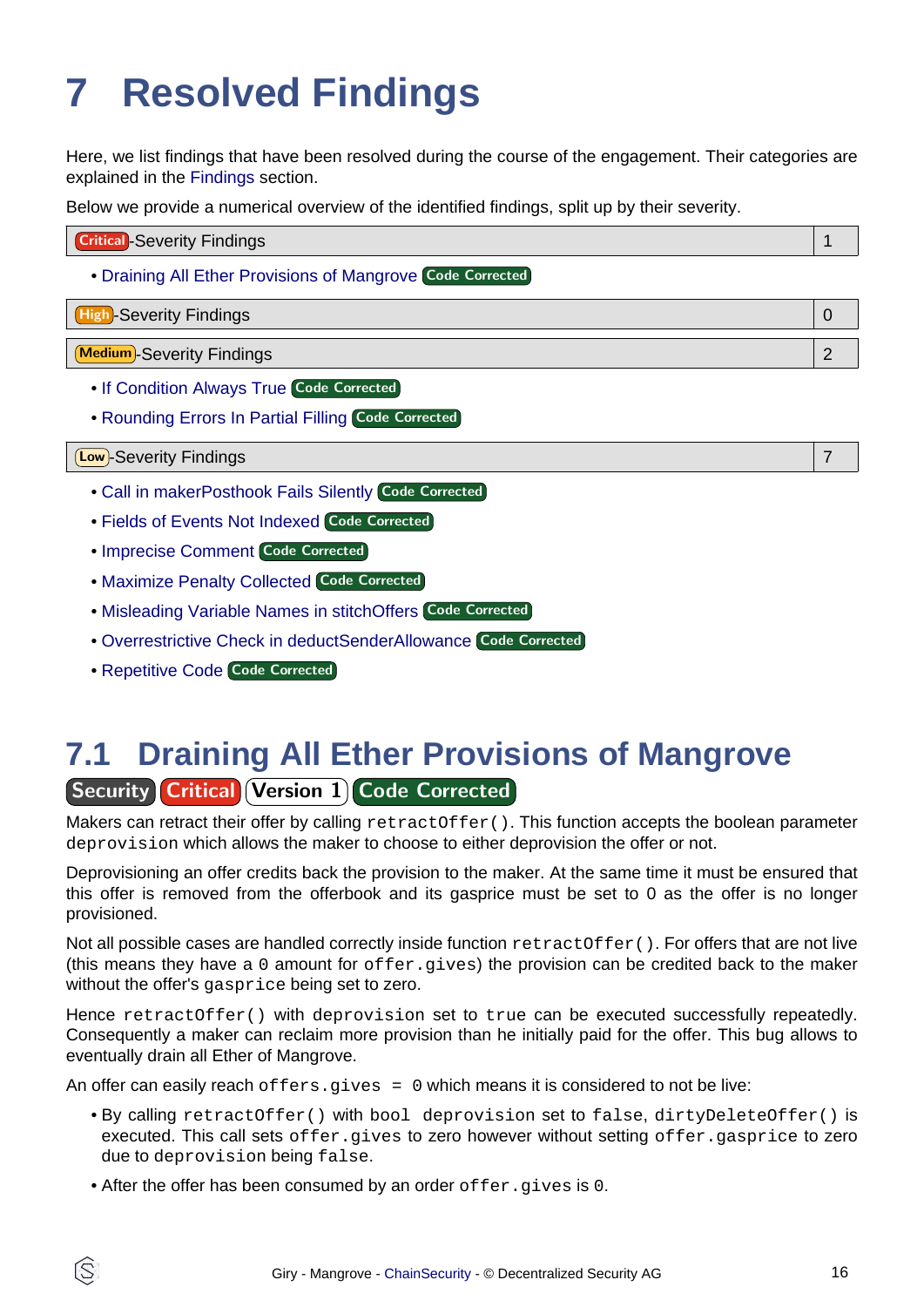# <span id="page-15-1"></span><span id="page-15-0"></span>**7 Resolved Findings**

Here, we list findings that have been resolved during the course of the engagement. Their categories are explained in the [Findings](#page-12-3) section.

Below we provide a numerical overview of the identified findings, split up by their severity.

| <b>Critical</b> -Severity Findings                         |  |
|------------------------------------------------------------|--|
| • Draining All Ether Provisions of Mangrove Code Corrected |  |
| <b>High-Severity Findings</b>                              |  |
| <b>Medium</b> -Severity Findings                           |  |
| . If Condition Always True Code Corrected                  |  |
| • Rounding Errors In Partial Filling Code Corrected        |  |
| Low)-Severity Findings                                     |  |

- [Call in makerPosthook Fails Silently](#page-17-0) Code Corrected
- [Fields of Events Not Indexed](#page-17-1) Code Corrected
- [Imprecise Comment](#page-17-2) Code Corrected
- [Maximize Penalty Collected](#page-18-0) Code Corrected
- [Misleading Variable Names in stitchOffers](#page-18-1) Code Corrected
- [Overrestrictive Check in deductSenderAllowance](#page-19-0) Code Corrected
- [Repetitive Code](#page-19-1) Code Corrected

### <span id="page-15-2"></span>**7.1 Draining All Ether Provisions of Mangrove Security Critical Version 1 Code Corrected**

Makers can retract their offer by calling retractOffer(). This function accepts the boolean parameter deprovision which allows the maker to choose to either deprovision the offer or not.

Deprovisioning an offer credits back the provision to the maker. At the same time it must be ensured that this offer is removed from the offerbook and its gasprice must be set to 0 as the offer is no longer provisioned.

Not all possible cases are handled correctly inside function retractOffer(). For offers that are not live (this means they have a 0 amount for offer.gives) the provision can be credited back to the maker without the offer's gasprice being set to zero.

Hence retractOffer() with deprovision set to true can be executed successfully repeatedly. Consequently a maker can reclaim more provision than he initially paid for the offer. This bug allows to eventually drain all Ether of Mangrove.

An offer can easily reach of  $fers. gives = 0$  which means it is considered to not be live:

- By calling retractOffer() with bool deprovision set to false, dirtyDeleteOffer() is executed. This call sets offer.gives to zero however without setting offer.gasprice to zero due to deprovision being false.
- After the offer has been consumed by an order offer.gives is 0.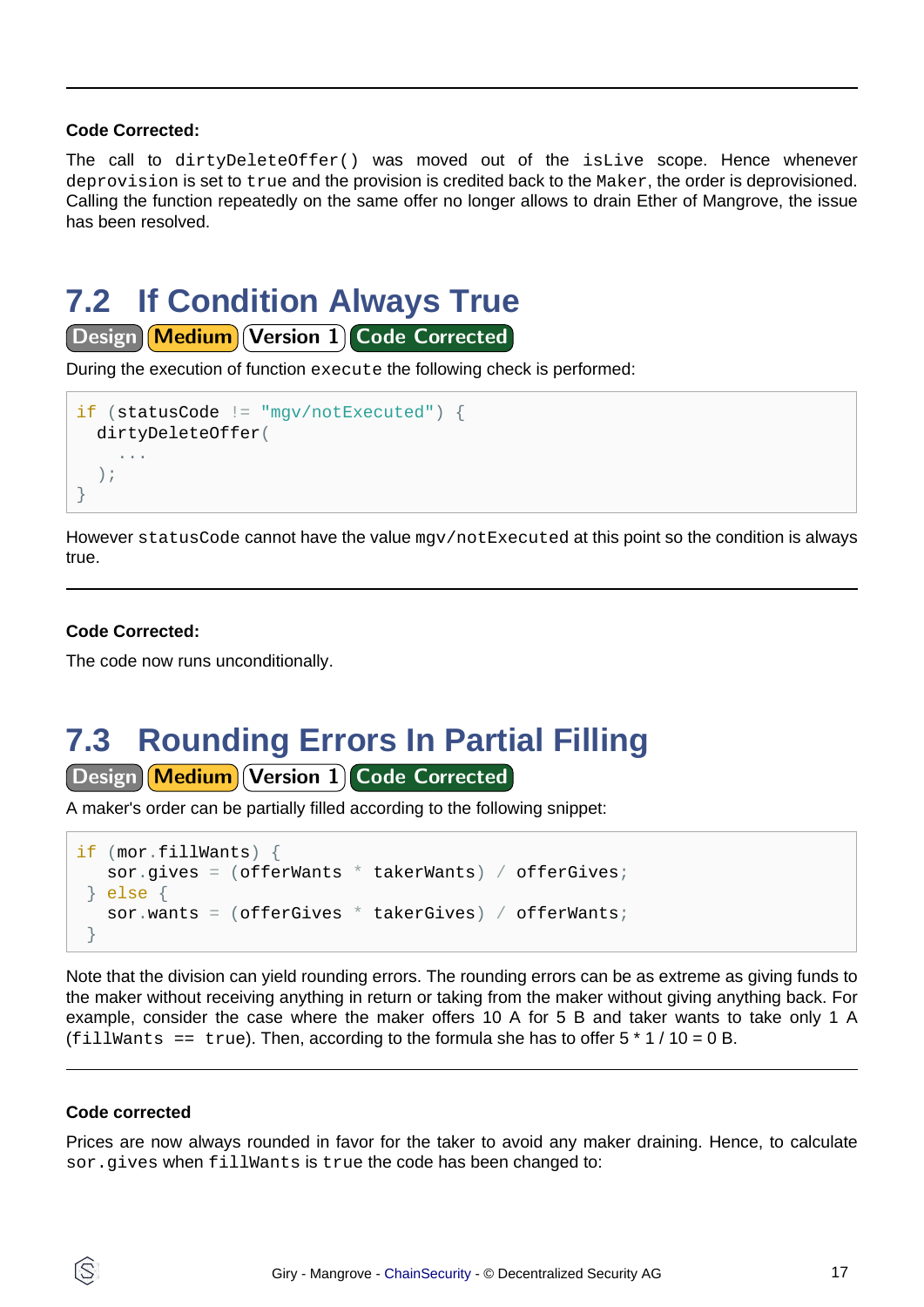#### **Code Corrected:**

The call to dirtyDeleteOffer() was moved out of the isLive scope. Hence whenever deprovision is set to true and the provision is credited back to the Maker, the order is deprovisioned. Calling the function repeatedly on the same offer no longer allows to drain Ether of Mangrove, the issue has been resolved.

### <span id="page-16-0"></span>**7.2 If Condition Always True**

Design Medium Version 1 Code Corrected

During the execution of function execute the following check is performed:

```
if (statusCode != "mgv/notExecuted") {
   dirtyDeleteOffer(
     ...
   );
}
```
However statusCode cannot have the value mgv/notExecuted at this point so the condition is always true.

#### **Code Corrected:**

The code now runs unconditionally.

### <span id="page-16-1"></span>**7.3 Rounding Errors In Partial Filling**

Design Medium Version 1 Code Corrected

A maker's order can be partially filled according to the following snippet:

```
if (mor.fillWants) {
   sor.gives = (offerWants * takerWants) / offerGives;
 } else {
   sor.wants = (offerGives * takerGives) / offerWants;}
```
Note that the division can yield rounding errors. The rounding errors can be as extreme as giving funds to the maker without receiving anything in return or taking from the maker without giving anything back. For example, consider the case where the maker offers 10 A for 5 B and taker wants to take only 1 A (fillwants == true). Then, according to the formula she has to offer  $5 * 1 / 10 = 0 B$ .

#### **Code corrected**

S

Prices are now always rounded in favor for the taker to avoid any maker draining. Hence, to calculate sor.gives when fillWants is true the code has been changed to: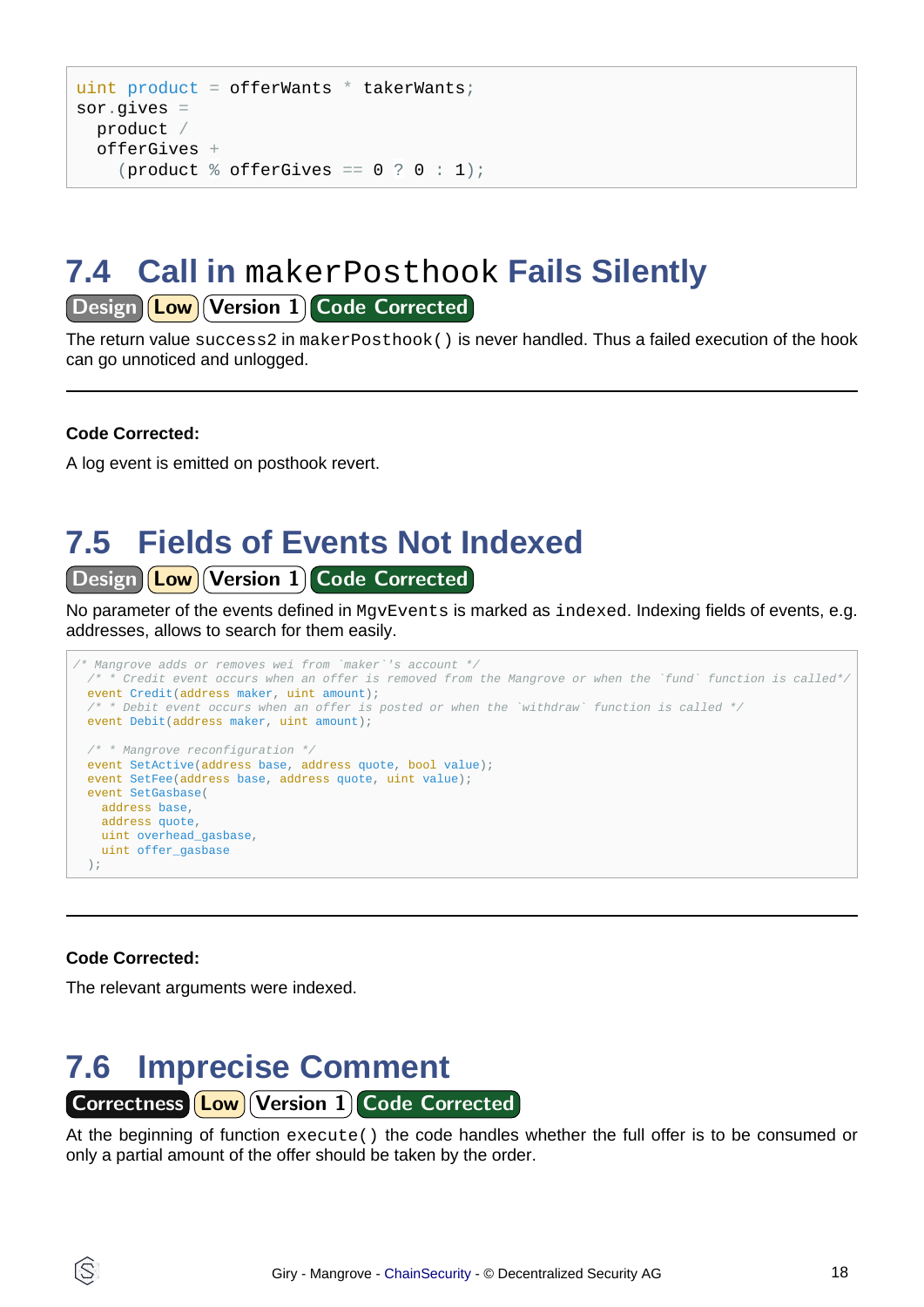```
uint product = offerWants * takerWants;sor.gives =
   product /
   offerGives +
    (product \frac{1}{6} offerGives == 0 ? 0 : 1);
```
### <span id="page-17-0"></span>**7.4 Call in** makerPosthook **Fails Silently**

Design **Low** Version 1 Code Corrected

The return value success2 in makerPosthook() is never handled. Thus a failed execution of the hook can go unnoticed and unlogged.

#### **Code Corrected:**

A log event is emitted on posthook revert.

## <span id="page-17-1"></span>**7.5 Fields of Events Not Indexed**

Design **Low** Version 1 Code Corrected

No parameter of the events defined in MgvEvents is marked as indexed. Indexing fields of events, e.g. addresses, allows to search for them easily.

```
/* Mangrove adds or removes wei from `maker`'s account */
  \mu<sup>*</sup> * Credit event occurs when an offer is removed from the Mangrove or when the `fund` function is called*/
  event Credit(address maker, uint amount);
  /* * Debit event occurs when an offer is posted or when the `withdraw` function is called */event Debit(address maker, uint amount);
   /* * Mangrove reconfiguration */
  event SetActive(address base, address quote, bool value);
  event SetFee(address base, address quote, uint value);
  event SetGasbase(
    address base,
    address quote,
    uint overhead_gasbase,
    uint offer_gasbase
  );
```
#### **Code Corrected:**

ĺS

The relevant arguments were indexed.

<span id="page-17-2"></span>

At the beginning of function execute() the code handles whether the full offer is to be consumed or only a partial amount of the offer should be taken by the order.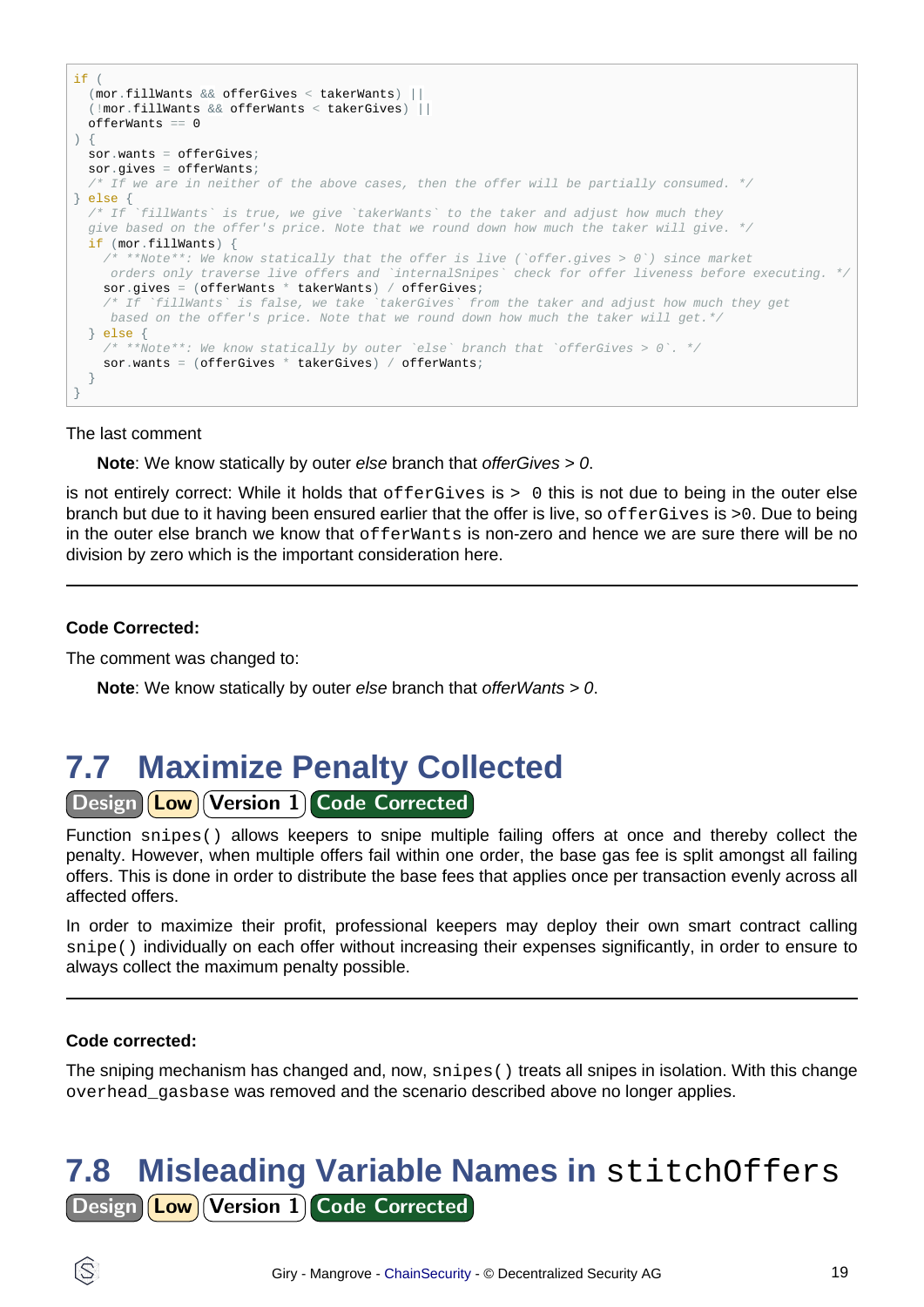```
if (
   (mor.fillWants && offerGives < takerWants) ||
  (!mor.fillWants && offerWants < takerGives) ||
  offerWants == 0
) {
  sor.wants = offerGives;
  sor.gives = offerWants;
  \frac{1}{x} If we are in neither of the above cases, then the offer will be partially consumed. */
} else {
 /* If `fillWants` is true, we give `takerWants` to the taker and adjust how much they
  give based on the offer's price. Note that we round down how much the taker will give. */
  if (mor.fillWants) {
   /* **Note**: We know statically that the offer is live (`offer.gives > 0`) since market
     orders only traverse live offers and `internalSnipes` check for offer liveness before executing. */
   sor.gives = (offerWants * takerWants) / offerGives;
     /* If `fillWants` is false, we take `takerGives` from the taker and adjust how much they get
     based on the offer's price. Note that we round down how much the taker will get.*/
  } else {
      /* **Note**: We know statically by outer `else` branch that `offerGives > 0`. */
   sor.wants = (offerGives * takerGives) / offerWants;
   }
}
```
#### The last comment

**Note**: We know statically by outer else branch that offerGives > 0.

is not entirely correct: While it holds that offerGives is > 0 this is not due to being in the outer else branch but due to it having been ensured earlier that the offer is live, so offerGives is >0. Due to being in the outer else branch we know that offerwants is non-zero and hence we are sure there will be no division by zero which is the important consideration here.

#### **Code Corrected:**

The comment was changed to:

**Note**: We know statically by outer else branch that offerWants > 0.

### <span id="page-18-0"></span>**7.7 Maximize Penalty Collected**

Design **Low** Version 1 Code Corrected

Function snipes() allows keepers to snipe multiple failing offers at once and thereby collect the penalty. However, when multiple offers fail within one order, the base gas fee is split amongst all failing offers. This is done in order to distribute the base fees that applies once per transaction evenly across all affected offers.

In order to maximize their profit, professional keepers may deploy their own smart contract calling snipe() individually on each offer without increasing their expenses significantly, in order to ensure to always collect the maximum penalty possible.

#### **Code corrected:**

The sniping mechanism has changed and, now, snipes() treats all snipes in isolation. With this change overhead\_gasbase was removed and the scenario described above no longer applies.

### <span id="page-18-1"></span>**7.8 Misleading Variable Names in** stitchOffers Design **Low Version 1 Code Corrected**

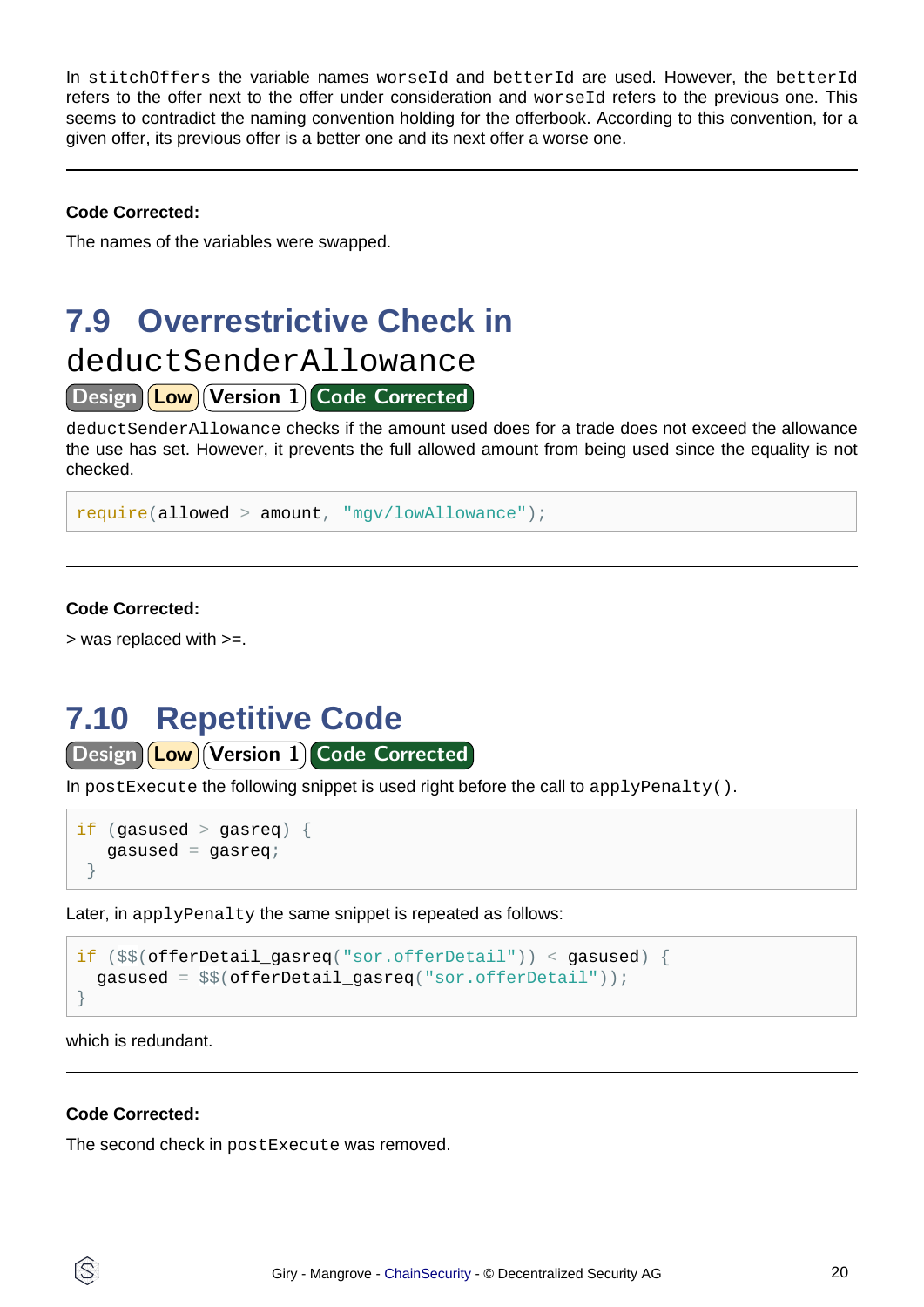In stitchOffers the variable names worseId and betterId are used. However, the betterId refers to the offer next to the offer under consideration and worseId refers to the previous one. This seems to contradict the naming convention holding for the offerbook. According to this convention, for a given offer, its previous offer is a better one and its next offer a worse one.

#### **Code Corrected:**

The names of the variables were swapped.

### <span id="page-19-0"></span>**7.9 Overrestrictive Check in**

### deductSenderAllowance

Design **Low** Version 1 Code Corrected

deductSenderAllowance checks if the amount used does for a trade does not exceed the allowance the use has set. However, it prevents the full allowed amount from being used since the equality is not checked.

```
require(allowed > amount, "mgv/lowAllowance");
```
### **Code Corrected:**

> was replaced with >=.

### <span id="page-19-1"></span>**7.10 Repetitive Code**

Design Low Version 1 Code Corrected

In postExecute the following snippet is used right before the call to  $applyPenalty()$ .

```
if (gasused > gasreq) {
   qasused = qasreq;
 }
```
Later, in applyPenalty the same snippet is repeated as follows:

```
if ($$(offerDetail_gasreq("sor.offerDetail")) < gasused) {
  gasused = $$(offerDetail_gasreq("sor.offerDetail"));
}
```
which is redundant.

#### **Code Corrected:**

The second check in postExecute was removed.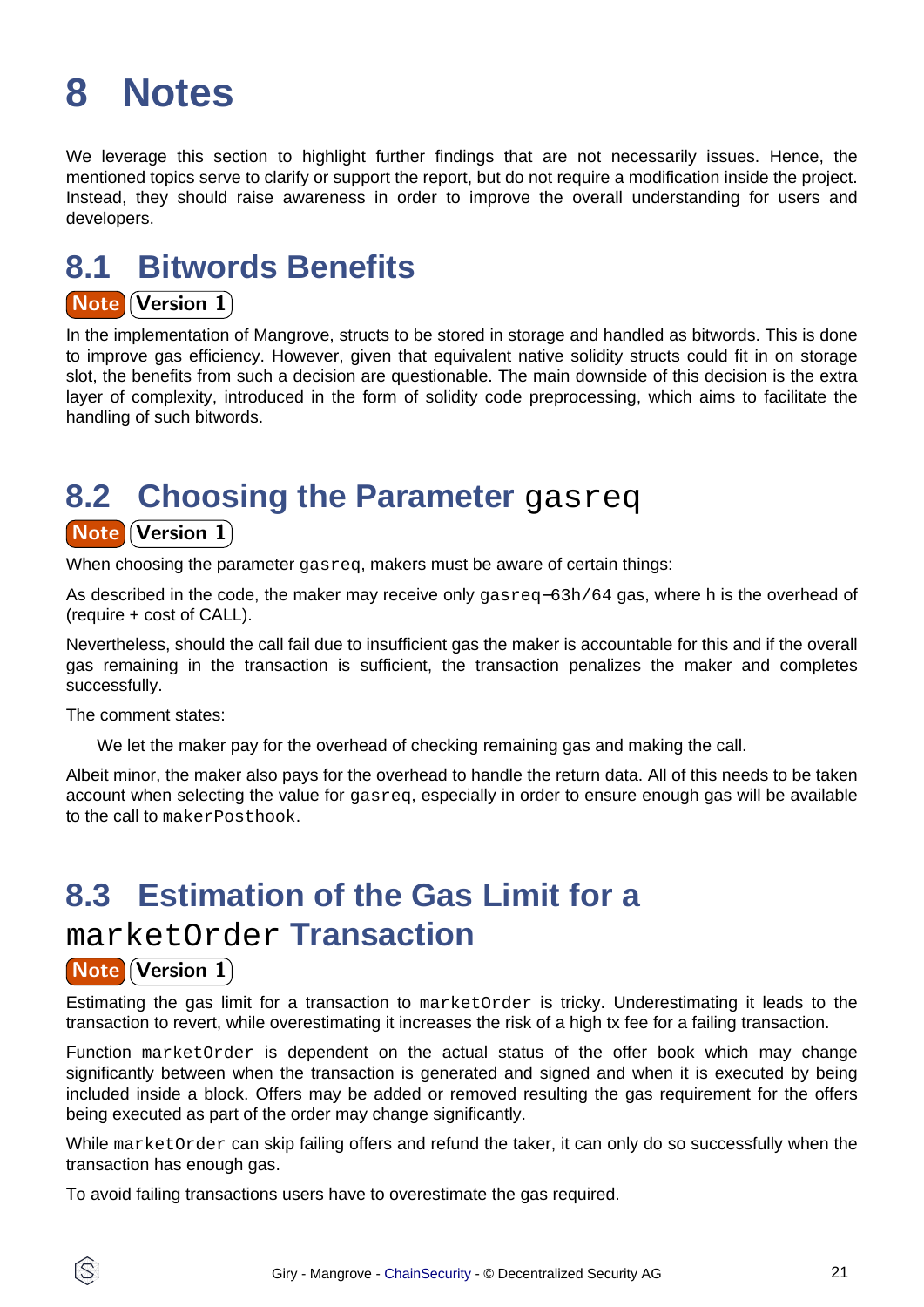## <span id="page-20-0"></span>**8 Notes**

We leverage this section to highlight further findings that are not necessarily issues. Hence, the mentioned topics serve to clarify or support the report, but do not require a modification inside the project. Instead, they should raise awareness in order to improve the overall understanding for users and developers.

### **8.1 Bitwords Benefits**

### **Note Version 1**

In the implementation of Mangrove, structs to be stored in storage and handled as bitwords. This is done to improve gas efficiency. However, given that equivalent native solidity structs could fit in on storage slot, the benefits from such a decision are questionable. The main downside of this decision is the extra layer of complexity, introduced in the form of solidity code preprocessing, which aims to facilitate the handling of such bitwords.

### **8.2 Choosing the Parameter** gasreq

### **Note Version 1**

When choosing the parameter gasreq, makers must be aware of certain things:

As described in the code, the maker may receive only gasreq−63h/64 gas, where h is the overhead of (require + cost of CALL).

Nevertheless, should the call fail due to insufficient gas the maker is accountable for this and if the overall gas remaining in the transaction is sufficient, the transaction penalizes the maker and completes successfully.

The comment states:

We let the maker pay for the overhead of checking remaining gas and making the call.

Albeit minor, the maker also pays for the overhead to handle the return data. All of this needs to be taken account when selecting the value for gasreg, especially in order to ensure enough gas will be available to the call to makerPosthook.

## **8.3 Estimation of the Gas Limit for a**

### marketOrder **Transaction**

### **Note Version 1)**

Estimating the gas limit for a transaction to marketOrder is tricky. Underestimating it leads to the transaction to revert, while overestimating it increases the risk of a high tx fee for a failing transaction.

Function marketOrder is dependent on the actual status of the offer book which may change significantly between when the transaction is generated and signed and when it is executed by being included inside a block. Offers may be added or removed resulting the gas requirement for the offers being executed as part of the order may change significantly.

While marketOrder can skip failing offers and refund the taker, it can only do so successfully when the transaction has enough gas.

To avoid failing transactions users have to overestimate the gas required.